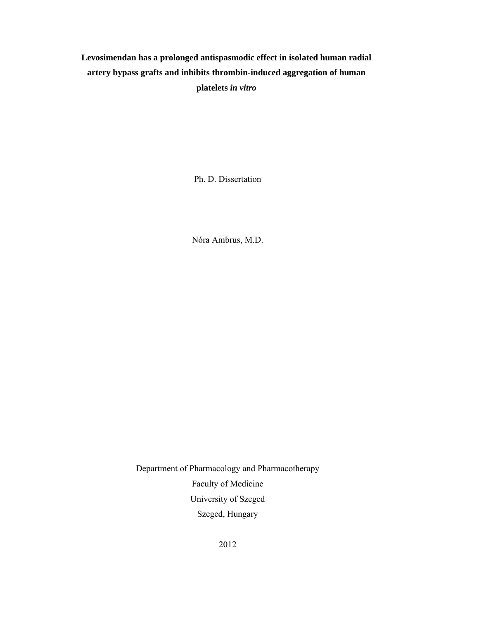# **Levosimendan has a prolonged antispasmodic effect in isolated human radial artery bypass grafts and inhibits thrombin-induced aggregation of human platelets** *in vitro*

Ph. D. Dissertation

Nóra Ambrus, M.D.

Department of Pharmacology and Pharmacotherapy Faculty of Medicine University of Szeged Szeged, Hungary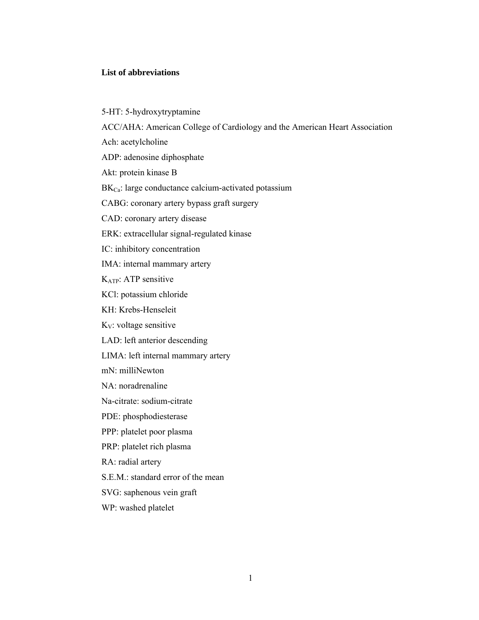# **List of abbreviations**

5-HT: 5-hydroxytryptamine ACC/AHA: American College of Cardiology and the American Heart Association Ach: acetylcholine ADP: adenosine diphosphate Akt: protein kinase B BK<sub>Ca</sub>: large conductance calcium-activated potassium CABG: coronary artery bypass graft surgery CAD: coronary artery disease ERK: extracellular signal-regulated kinase IC: inhibitory concentration IMA: internal mammary artery KATP: ATP sensitive KCl: potassium chloride KH: Krebs-Henseleit  $K_V$ : voltage sensitive LAD: left anterior descending LIMA: left internal mammary artery mN: milliNewton NA: noradrenaline Na-citrate: sodium-citrate PDE: phosphodiesterase PPP: platelet poor plasma PRP: platelet rich plasma RA: radial artery S.E.M.: standard error of the mean SVG: saphenous vein graft WP: washed platelet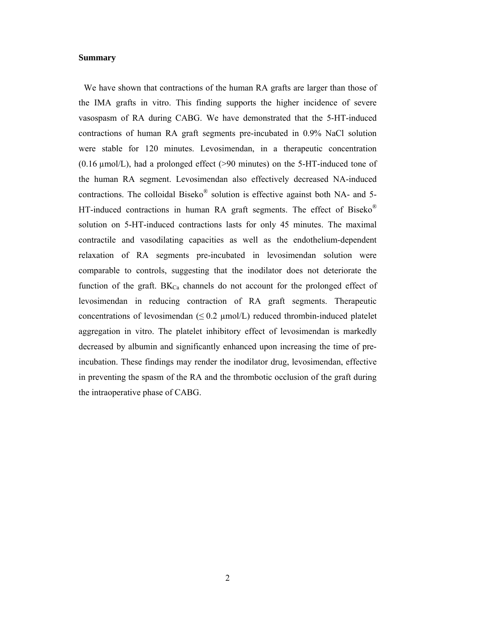## **Summary**

We have shown that contractions of the human RA grafts are larger than those of the IMA grafts in vitro. This finding supports the higher incidence of severe vasospasm of RA during CABG. We have demonstrated that the 5-HT-induced contractions of human RA graft segments pre-incubated in 0.9% NaCl solution were stable for 120 minutes. Levosimendan, in a therapeutic concentration  $(0.16 \mu mol/L)$ , had a prolonged effect (>90 minutes) on the 5-HT-induced tone of the human RA segment. Levosimendan also effectively decreased NA-induced contractions. The colloidal Biseko® solution is effective against both NA- and 5- HT-induced contractions in human RA graft segments. The effect of Biseko® solution on 5-HT-induced contractions lasts for only 45 minutes. The maximal contractile and vasodilating capacities as well as the endothelium-dependent relaxation of RA segments pre-incubated in levosimendan solution were comparable to controls, suggesting that the inodilator does not deteriorate the function of the graft.  $BK_{Ca}$  channels do not account for the prolonged effect of levosimendan in reducing contraction of RA graft segments. Therapeutic concentrations of levosimendan ( $\leq 0.2 \mu$ mol/L) reduced thrombin-induced platelet aggregation in vitro. The platelet inhibitory effect of levosimendan is markedly decreased by albumin and significantly enhanced upon increasing the time of preincubation. These findings may render the inodilator drug, levosimendan, effective in preventing the spasm of the RA and the thrombotic occlusion of the graft during the intraoperative phase of CABG.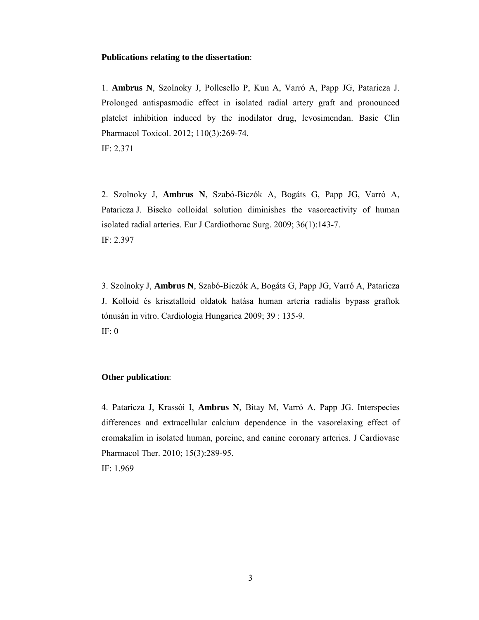## **Publications relating to the dissertation**:

1. **Ambrus N**, Szolnoky J, Pollesello P, Kun A, Varró A, Papp JG, Pataricza J. Prolonged antispasmodic effect in isolated radial artery graft and pronounced platelet inhibition induced by the inodilator drug, levosimendan. Basic Clin Pharmacol Toxicol. 2012; 110(3):269-74.

IF: 2.371

2. Szolnoky J, **Ambrus N**, Szabó-Biczók A, Bogáts G, Papp JG, Varró A, Pataricza J. Biseko colloidal solution diminishes the vasoreactivity of human isolated radial arteries. Eur J Cardiothorac Surg. 2009; 36(1):143-7. IF: 2.397

3. Szolnoky J, **Ambrus N**, Szabó-Biczók A, Bogáts G, Papp JG, Varró A, Pataricza J. Kolloid és krisztalloid oldatok hatása human arteria radialis bypass graftok tónusán in vitro. Cardiologia Hungarica 2009; 39 : 135-9. IF: 0

# **Other publication**:

4. Pataricza J, Krassói I, **Ambrus N**, Bitay M, Varró A, Papp JG. Interspecies differences and extracellular calcium dependence in the vasorelaxing effect of cromakalim in isolated human, porcine, and canine coronary arteries. J Cardiovasc Pharmacol Ther. 2010; 15(3):289-95.

IF: 1.969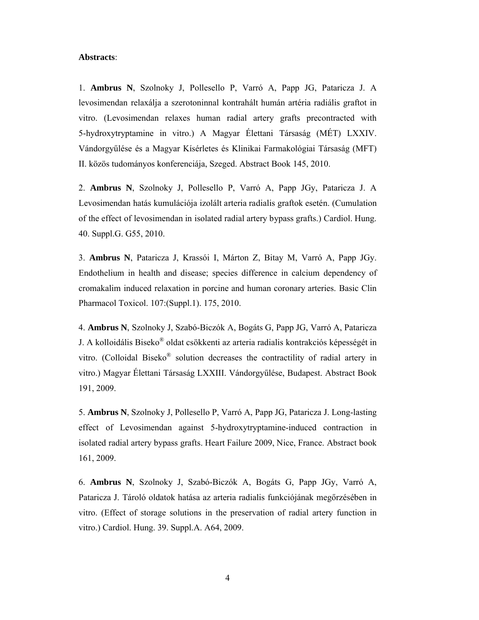### **Abstracts**:

1. **Ambrus N**, Szolnoky J, Pollesello P, Varró A, Papp JG, Pataricza J. A levosimendan relaxálja a szerotoninnal kontrahált humán artéria radiális graftot in vitro. (Levosimendan relaxes human radial artery grafts precontracted with 5-hydroxytryptamine in vitro.) A Magyar Élettani Társaság (MÉT) LXXIV. Vándorgyűlése és a Magyar Kísérletes és Klinikai Farmakológiai Társaság (MFT) II. közös tudományos konferenciája, Szeged. Abstract Book 145, 2010.

2. **Ambrus N**, Szolnoky J, Pollesello P, Varró A, Papp JGy, Pataricza J. A Levosimendan hatás kumulációja izolált arteria radialis graftok esetén. (Cumulation of the effect of levosimendan in isolated radial artery bypass grafts.) Cardiol. Hung. 40. Suppl.G. G55, 2010.

3. **Ambrus N**, Pataricza J, Krassói I, Márton Z, Bitay M, Varró A, Papp JGy. Endothelium in health and disease; species difference in calcium dependency of cromakalim induced relaxation in porcine and human coronary arteries. Basic Clin Pharmacol Toxicol. 107:(Suppl.1). 175, 2010.

4. **Ambrus N**, Szolnoky J, Szabó-Biczók A, Bogáts G, Papp JG, Varró A, Pataricza J. A kolloidális Biseko® oldat csökkenti az arteria radialis kontrakciós képességét in vitro. (Colloidal Biseko® solution decreases the contractility of radial artery in vitro.) Magyar Élettani Társaság LXXIII. Vándorgyűlése, Budapest. Abstract Book 191, 2009.

5. **Ambrus N**, Szolnoky J, Pollesello P, Varró A, Papp JG, Pataricza J. Long-lasting effect of Levosimendan against 5-hydroxytryptamine-induced contraction in isolated radial artery bypass grafts. Heart Failure 2009, Nice, France. Abstract book 161, 2009.

6. **Ambrus N**, Szolnoky J, Szabó-Biczók A, Bogáts G, Papp JGy, Varró A, Pataricza J. Tároló oldatok hatása az arteria radialis funkciójának megőrzésében in vitro. (Effect of storage solutions in the preservation of radial artery function in vitro.) Cardiol. Hung. 39. Suppl.A. A64, 2009.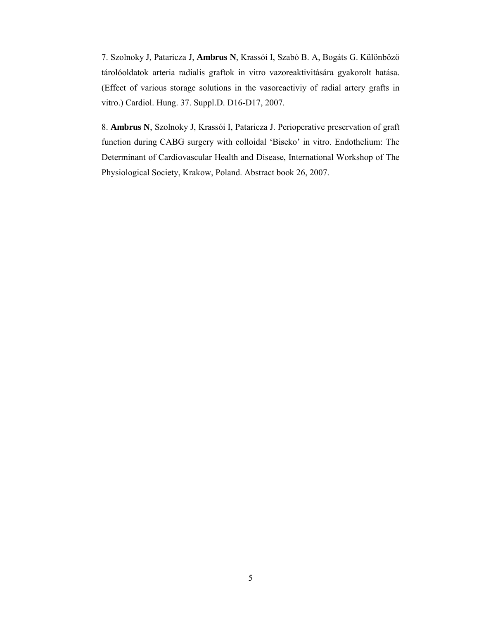7. Szolnoky J, Pataricza J, **Ambrus N**, Krassói I, Szabó B. A, Bogáts G. Különböző tárolóoldatok arteria radialis graftok in vitro vazoreaktivitására gyakorolt hatása. (Effect of various storage solutions in the vasoreactiviy of radial artery grafts in vitro.) Cardiol. Hung. 37. Suppl.D. D16-D17, 2007.

8. **Ambrus N**, Szolnoky J, Krassói I, Pataricza J. Perioperative preservation of graft function during CABG surgery with colloidal 'Biseko' in vitro. Endothelium: The Determinant of Cardiovascular Health and Disease, International Workshop of The Physiological Society, Krakow, Poland. Abstract book 26, 2007.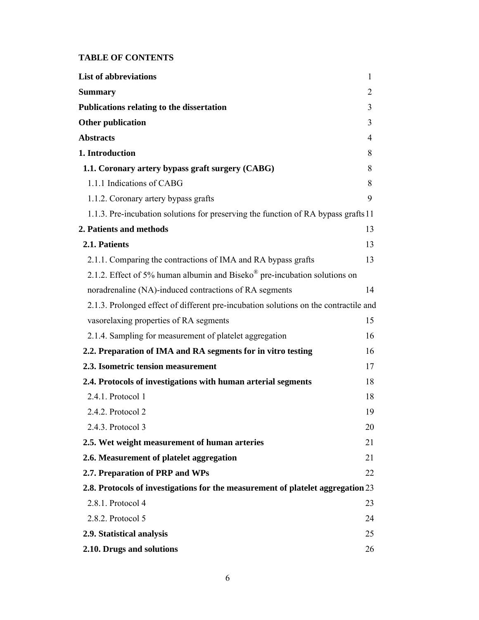# **TABLE OF CONTENTS**

| <b>List of abbreviations</b>                                                         | $\mathbf{1}$ |
|--------------------------------------------------------------------------------------|--------------|
| <b>Summary</b>                                                                       | 2            |
| <b>Publications relating to the dissertation</b>                                     | 3            |
| <b>Other publication</b>                                                             | 3            |
| <b>Abstracts</b>                                                                     | 4            |
| 1. Introduction                                                                      | 8            |
| 1.1. Coronary artery bypass graft surgery (CABG)                                     | 8            |
| 1.1.1 Indications of CABG                                                            | 8            |
| 1.1.2. Coronary artery bypass grafts                                                 | 9            |
| 1.1.3. Pre-incubation solutions for preserving the function of RA bypass grafts 11   |              |
| 2. Patients and methods                                                              | 13           |
| 2.1. Patients                                                                        | 13           |
| 2.1.1. Comparing the contractions of IMA and RA bypass grafts                        | 13           |
| 2.1.2. Effect of 5% human albumin and Biseko® pre-incubation solutions on            |              |
| noradrenaline (NA)-induced contractions of RA segments                               | 14           |
| 2.1.3. Prolonged effect of different pre-incubation solutions on the contractile and |              |
| vasorelaxing properties of RA segments                                               | 15           |
| 2.1.4. Sampling for measurement of platelet aggregation                              | 16           |
| 2.2. Preparation of IMA and RA segments for in vitro testing                         | 16           |
| 2.3. Isometric tension measurement                                                   | 17           |
| 2.4. Protocols of investigations with human arterial segments                        | 18           |
| 2.4.1. Protocol 1                                                                    | 18           |
| 2.4.2. Protocol 2                                                                    | 19           |
| 2.4.3. Protocol 3                                                                    | 20           |
| 2.5. Wet weight measurement of human arteries                                        | 21           |
| 2.6. Measurement of platelet aggregation                                             | 21           |
| 2.7. Preparation of PRP and WPs                                                      | 22           |
| 2.8. Protocols of investigations for the measurement of platelet aggregation 23      |              |
| 2.8.1. Protocol 4                                                                    | 23           |
| 2.8.2. Protocol 5                                                                    | 24           |
| 2.9. Statistical analysis                                                            | 25           |
| 2.10. Drugs and solutions                                                            | 26           |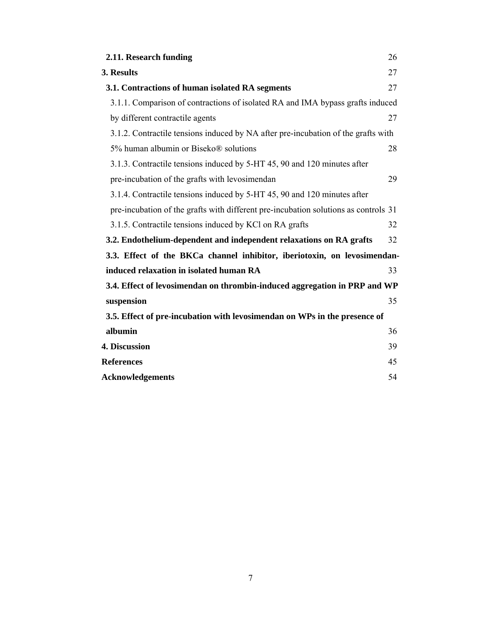| 2.11. Research funding                                                              | 26 |
|-------------------------------------------------------------------------------------|----|
| 3. Results                                                                          | 27 |
| 3.1. Contractions of human isolated RA segments                                     | 27 |
| 3.1.1. Comparison of contractions of isolated RA and IMA bypass grafts induced      |    |
| by different contractile agents                                                     | 27 |
| 3.1.2. Contractile tensions induced by NA after pre-incubation of the grafts with   |    |
| 5% human albumin or Biseko® solutions                                               | 28 |
| 3.1.3. Contractile tensions induced by 5-HT 45, 90 and 120 minutes after            |    |
| pre-incubation of the grafts with levosimendan                                      | 29 |
| 3.1.4. Contractile tensions induced by 5-HT 45, 90 and 120 minutes after            |    |
| pre-incubation of the grafts with different pre-incubation solutions as controls 31 |    |
| 3.1.5. Contractile tensions induced by KCl on RA grafts                             | 32 |
| 3.2. Endothelium-dependent and independent relaxations on RA grafts                 | 32 |
| 3.3. Effect of the BKCa channel inhibitor, iberiotoxin, on levosimendan-            |    |
| induced relaxation in isolated human RA                                             | 33 |
| 3.4. Effect of levosimendan on thrombin-induced aggregation in PRP and WP           |    |
| suspension                                                                          | 35 |
| 3.5. Effect of pre-incubation with levosimendan on WPs in the presence of           |    |
| albumin                                                                             | 36 |
| 4. Discussion                                                                       | 39 |
| <b>References</b>                                                                   | 45 |
| <b>Acknowledgements</b>                                                             | 54 |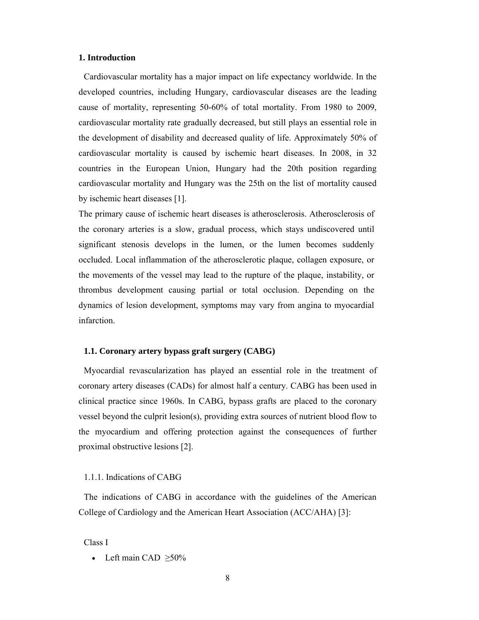### **1. Introduction**

Cardiovascular mortality has a major impact on life expectancy worldwide. In the developed countries, including Hungary, cardiovascular diseases are the leading cause of mortality, representing 50-60% of total mortality. From 1980 to 2009, cardiovascular mortality rate gradually decreased, but still plays an essential role in the development of disability and decreased quality of life. Approximately 50% of cardiovascular mortality is caused by ischemic heart diseases. In 2008, in 32 countries in the European Union, Hungary had the 20th position regarding cardiovascular mortality and Hungary was the 25th on the list of mortality caused by ischemic heart diseases [1].

The primary cause of ischemic heart diseases is atherosclerosis. Atherosclerosis of the coronary arteries is a slow, gradual process, which stays undiscovered until significant stenosis develops in the lumen, or the lumen becomes suddenly occluded. Local inflammation of the atherosclerotic plaque, collagen exposure, or the movements of the vessel may lead to the rupture of the plaque, instability, or thrombus development causing partial or total occlusion. Depending on the dynamics of lesion development, symptoms may vary from angina to myocardial infarction.

## **1.1. Coronary artery bypass graft surgery (CABG)**

Myocardial revascularization has played an essential role in the treatment of coronary artery diseases (CADs) for almost half a century. CABG has been used in clinical practice since 1960s. In CABG, bypass grafts are placed to the coronary vessel beyond the culprit lesion(s), providing extra sources of nutrient blood flow to the myocardium and offering protection against the consequences of further proximal obstructive lesions [2].

# 1.1.1. Indications of CABG

The indications of CABG in accordance with the guidelines of the American College of Cardiology and the American Heart Association (ACC/AHA) [3]:

Class I

• Left main CAD  $\geq 50\%$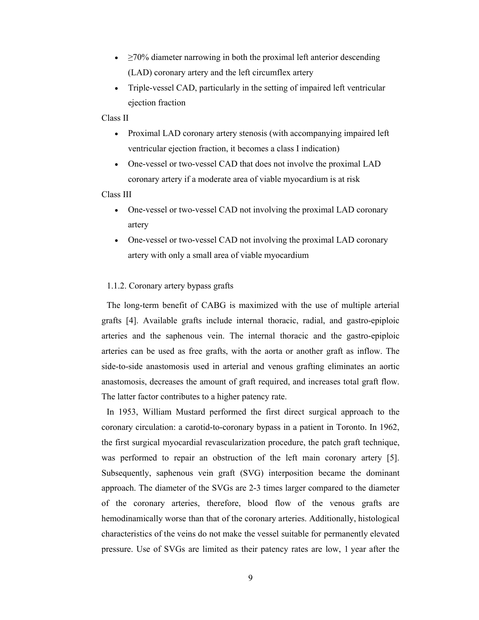- $\geq$ 70% diameter narrowing in both the proximal left anterior descending (LAD) coronary artery and the left circumflex artery
- Triple-vessel CAD, particularly in the setting of impaired left ventricular ejection fraction

## Class II

- Proximal LAD coronary artery stenosis (with accompanying impaired left ventricular ejection fraction, it becomes a class I indication)
- One-vessel or two-vessel CAD that does not involve the proximal LAD coronary artery if a moderate area of viable myocardium is at risk

# Class III

- One-vessel or two-vessel CAD not involving the proximal LAD coronary artery
- One-vessel or two-vessel CAD not involving the proximal LAD coronary artery with only a small area of viable myocardium

# 1.1.2. Coronary artery bypass grafts

The long-term benefit of CABG is maximized with the use of multiple arterial grafts [4]. Available grafts include internal thoracic, radial, and gastro-epiploic arteries and the saphenous vein. The internal thoracic and the gastro-epiploic arteries can be used as free grafts, with the aorta or another graft as inflow. The side-to-side anastomosis used in arterial and venous grafting eliminates an aortic anastomosis, decreases the amount of graft required, and increases total graft flow. The latter factor contributes to a higher patency rate.

In 1953, William Mustard performed the first direct surgical approach to the coronary circulation: a carotid-to-coronary bypass in a patient in Toronto. In 1962, the first surgical myocardial revascularization procedure, the patch graft technique, was performed to repair an obstruction of the left main coronary artery [5]. Subsequently, saphenous vein graft (SVG) interposition became the dominant approach. The diameter of the SVGs are 2-3 times larger compared to the diameter of the coronary arteries, therefore, blood flow of the venous grafts are hemodinamically worse than that of the coronary arteries. Additionally, histological characteristics of the veins do not make the vessel suitable for permanently elevated pressure. Use of SVGs are limited as their patency rates are low, 1 year after the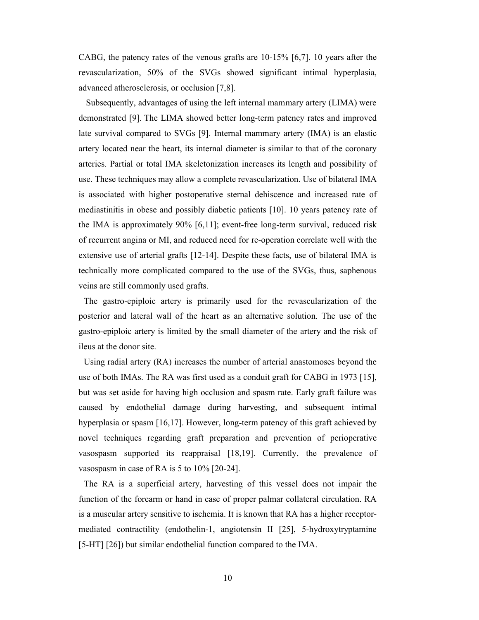CABG, the patency rates of the venous grafts are 10-15% [6,7]. 10 years after the revascularization, 50% of the SVGs showed significant intimal hyperplasia, advanced atherosclerosis, or occlusion [7,8].

Subsequently, advantages of using the left internal mammary artery (LIMA) were demonstrated [9]. The LIMA showed better long-term patency rates and improved late survival compared to SVGs [9]. Internal mammary artery (IMA) is an elastic artery located near the heart, its internal diameter is similar to that of the coronary arteries. Partial or total IMA skeletonization increases its length and possibility of use. These techniques may allow a complete revascularization. Use of bilateral IMA is associated with higher postoperative sternal dehiscence and increased rate of mediastinitis in obese and possibly diabetic patients [10]. 10 years patency rate of the IMA is approximately 90% [6,11]; event-free long-term survival, reduced risk of recurrent angina or MI, and reduced need for re-operation correlate well with the extensive use of arterial grafts [12-14]. Despite these facts, use of bilateral IMA is technically more complicated compared to the use of the SVGs, thus, saphenous veins are still commonly used grafts.

The gastro-epiploic artery is primarily used for the revascularization of the posterior and lateral wall of the heart as an alternative solution. The use of the gastro-epiploic artery is limited by the small diameter of the artery and the risk of ileus at the donor site.

Using radial artery (RA) increases the number of arterial anastomoses beyond the use of both IMAs. The RA was first used as a conduit graft for CABG in 1973 [15], but was set aside for having high occlusion and spasm rate. Early graft failure was caused by endothelial damage during harvesting, and subsequent intimal hyperplasia or spasm [16,17]. However, long-term patency of this graft achieved by novel techniques regarding graft preparation and prevention of perioperative vasospasm supported its reappraisal [18,19]. Currently, the prevalence of vasospasm in case of RA is 5 to 10% [20-24].

The RA is a superficial artery, harvesting of this vessel does not impair the function of the forearm or hand in case of proper palmar collateral circulation. RA is a muscular artery sensitive to ischemia. It is known that RA has a higher receptormediated contractility (endothelin-1, angiotensin II [25], 5-hydroxytryptamine [5-HT] [26]) but similar endothelial function compared to the IMA.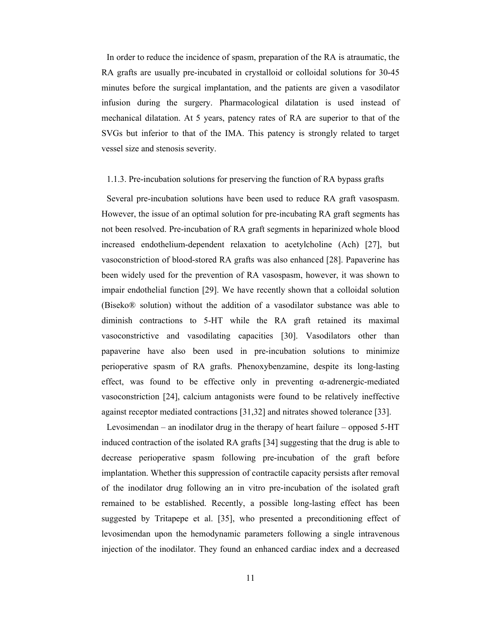In order to reduce the incidence of spasm, preparation of the RA is atraumatic, the RA grafts are usually pre-incubated in crystalloid or colloidal solutions for 30-45 minutes before the surgical implantation, and the patients are given a vasodilator infusion during the surgery. Pharmacological dilatation is used instead of mechanical dilatation. At 5 years, patency rates of RA are superior to that of the SVGs but inferior to that of the IMA. This patency is strongly related to target vessel size and stenosis severity.

### 1.1.3. Pre-incubation solutions for preserving the function of RA bypass grafts

Several pre-incubation solutions have been used to reduce RA graft vasospasm. However, the issue of an optimal solution for pre-incubating RA graft segments has not been resolved. Pre-incubation of RA graft segments in heparinized whole blood increased endothelium-dependent relaxation to acetylcholine (Ach) [27], but vasoconstriction of blood-stored RA grafts was also enhanced [28]. Papaverine has been widely used for the prevention of RA vasospasm, however, it was shown to impair endothelial function [29]. We have recently shown that a colloidal solution (Biseko® solution) without the addition of a vasodilator substance was able to diminish contractions to 5-HT while the RA graft retained its maximal vasoconstrictive and vasodilating capacities [30]. Vasodilators other than papaverine have also been used in pre-incubation solutions to minimize perioperative spasm of RA grafts. Phenoxybenzamine, despite its long-lasting effect, was found to be effective only in preventing  $\alpha$ -adrenergic-mediated vasoconstriction [24], calcium antagonists were found to be relatively ineffective against receptor mediated contractions [31,32] and nitrates showed tolerance [33].

Levosimendan – an inodilator drug in the therapy of heart failure – opposed 5-HT induced contraction of the isolated RA grafts [34] suggesting that the drug is able to decrease perioperative spasm following pre-incubation of the graft before implantation. Whether this suppression of contractile capacity persists after removal of the inodilator drug following an in vitro pre-incubation of the isolated graft remained to be established. Recently, a possible long-lasting effect has been suggested by Tritapepe et al. [35], who presented a preconditioning effect of levosimendan upon the hemodynamic parameters following a single intravenous injection of the inodilator. They found an enhanced cardiac index and a decreased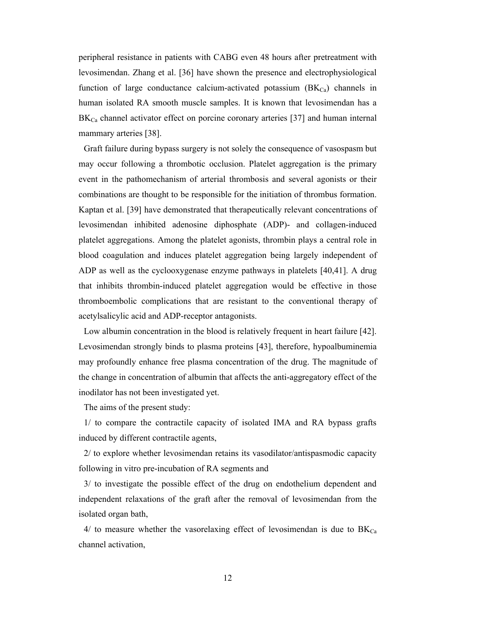peripheral resistance in patients with CABG even 48 hours after pretreatment with levosimendan. Zhang et al. [36] have shown the presence and electrophysiological function of large conductance calcium-activated potassium  $(BK_{Ca})$  channels in human isolated RA smooth muscle samples. It is known that levosimendan has a  $BK<sub>Ca</sub>$  channel activator effect on porcine coronary arteries [37] and human internal mammary arteries [38].

Graft failure during bypass surgery is not solely the consequence of vasospasm but may occur following a thrombotic occlusion. Platelet aggregation is the primary event in the pathomechanism of arterial thrombosis and several agonists or their combinations are thought to be responsible for the initiation of thrombus formation. Kaptan et al. [39] have demonstrated that therapeutically relevant concentrations of levosimendan inhibited adenosine diphosphate (ADP)- and collagen-induced platelet aggregations. Among the platelet agonists, thrombin plays a central role in blood coagulation and induces platelet aggregation being largely independent of ADP as well as the cyclooxygenase enzyme pathways in platelets [40,41]. A drug that inhibits thrombin-induced platelet aggregation would be effective in those thromboembolic complications that are resistant to the conventional therapy of acetylsalicylic acid and ADP-receptor antagonists.

Low albumin concentration in the blood is relatively frequent in heart failure [42]. Levosimendan strongly binds to plasma proteins [43], therefore, hypoalbuminemia may profoundly enhance free plasma concentration of the drug. The magnitude of the change in concentration of albumin that affects the anti-aggregatory effect of the inodilator has not been investigated yet.

The aims of the present study:

1/ to compare the contractile capacity of isolated IMA and RA bypass grafts induced by different contractile agents,

2/ to explore whether levosimendan retains its vasodilator/antispasmodic capacity following in vitro pre-incubation of RA segments and

3/ to investigate the possible effect of the drug on endothelium dependent and independent relaxations of the graft after the removal of levosimendan from the isolated organ bath,

 $4/$  to measure whether the vasorelaxing effect of levosimendan is due to  $BK_{Ca}$ channel activation,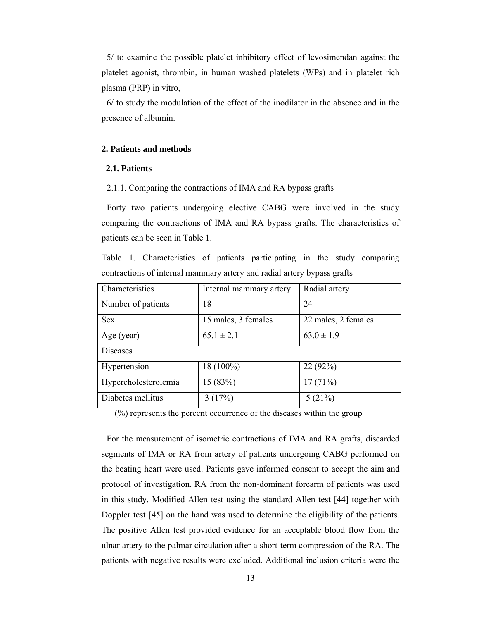5/ to examine the possible platelet inhibitory effect of levosimendan against the platelet agonist, thrombin, in human washed platelets (WPs) and in platelet rich plasma (PRP) in vitro,

6/ to study the modulation of the effect of the inodilator in the absence and in the presence of albumin.

### **2. Patients and methods**

# **2.1. Patients**

2.1.1. Comparing the contractions of IMA and RA bypass grafts

Forty two patients undergoing elective CABG were involved in the study comparing the contractions of IMA and RA bypass grafts. The characteristics of patients can be seen in Table 1.

Table 1. Characteristics of patients participating in the study comparing contractions of internal mammary artery and radial artery bypass grafts

| Characteristics      | Internal mammary artery | Radial artery       |
|----------------------|-------------------------|---------------------|
| Number of patients   | 18                      | 24                  |
| <b>Sex</b>           | 15 males, 3 females     | 22 males, 2 females |
| Age (year)           | $65.1 \pm 2.1$          | $63.0 \pm 1.9$      |
| Diseases             |                         |                     |
| Hypertension         | 18 (100%)               | 22(92%)             |
| Hypercholesterolemia | 15(83%)                 | 17(71%)             |
| Diabetes mellitus    | 3(17%)                  | 5(21%)              |

(%) represents the percent occurrence of the diseases within the group

For the measurement of isometric contractions of IMA and RA grafts, discarded segments of IMA or RA from artery of patients undergoing CABG performed on the beating heart were used. Patients gave informed consent to accept the aim and protocol of investigation. RA from the non-dominant forearm of patients was used in this study. Modified Allen test using the standard Allen test [44] together with Doppler test [45] on the hand was used to determine the eligibility of the patients. The positive Allen test provided evidence for an acceptable blood flow from the ulnar artery to the palmar circulation after a short-term compression of the RA. The patients with negative results were excluded. Additional inclusion criteria were the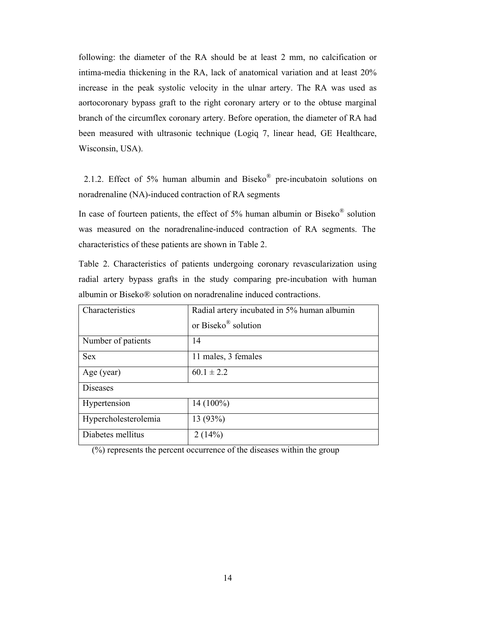following: the diameter of the RA should be at least 2 mm, no calcification or intima-media thickening in the RA, lack of anatomical variation and at least 20% increase in the peak systolic velocity in the ulnar artery. The RA was used as aortocoronary bypass graft to the right coronary artery or to the obtuse marginal branch of the circumflex coronary artery. Before operation, the diameter of RA had been measured with ultrasonic technique (Logiq 7, linear head, GE Healthcare, Wisconsin, USA).

2.1.2. Effect of 5% human albumin and Biseko® pre-incubatoin solutions on noradrenaline (NA)-induced contraction of RA segments

In case of fourteen patients, the effect of 5% human albumin or Biseko® solution was measured on the noradrenaline-induced contraction of RA segments. The characteristics of these patients are shown in Table 2.

Table 2. Characteristics of patients undergoing coronary revascularization using radial artery bypass grafts in the study comparing pre-incubation with human albumin or Biseko® solution on noradrenaline induced contractions.

| Characteristics      | Radial artery incubated in 5% human albumin |  |
|----------------------|---------------------------------------------|--|
|                      | or Biseko® solution                         |  |
| Number of patients   | 14                                          |  |
| <b>Sex</b>           | 11 males, 3 females                         |  |
| Age (year)           | $60.1 \pm 2.2$                              |  |
| Diseases             |                                             |  |
| Hypertension         | $14(100\%)$                                 |  |
| Hypercholesterolemia | 13 (93%)                                    |  |
| Diabetes mellitus    | 2(14%)                                      |  |

(%) represents the percent occurrence of the diseases within the group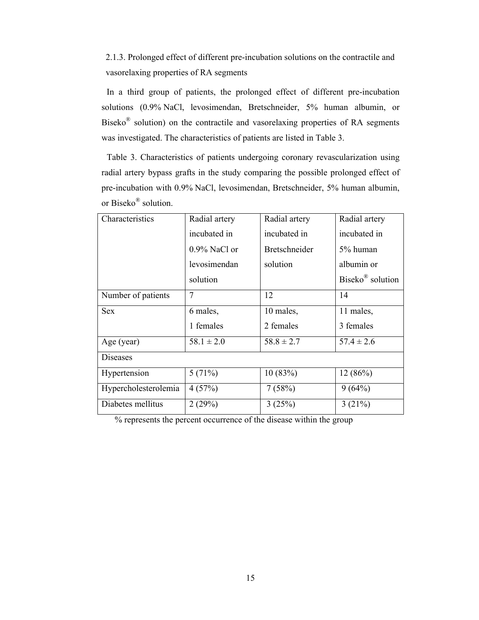2.1.3. Prolonged effect of different pre-incubation solutions on the contractile and vasorelaxing properties of RA segments

In a third group of patients, the prolonged effect of different pre-incubation solutions (0.9% NaCl, levosimendan, Bretschneider, 5% human albumin, or Biseko® solution) on the contractile and vasorelaxing properties of RA segments was investigated. The characteristics of patients are listed in Table 3.

Table 3. Characteristics of patients undergoing coronary revascularization using radial artery bypass grafts in the study comparing the possible prolonged effect of pre-incubation with 0.9% NaCl, levosimendan, Bretschneider, 5% human albumin, or Biseko® solution.

| Characteristics      | Radial artery   | Radial artery        | Radial artery                |
|----------------------|-----------------|----------------------|------------------------------|
|                      | incubated in    | incubated in         | incubated in                 |
|                      | $0.9\%$ NaCl or | <b>Bretschneider</b> | 5% human                     |
|                      | levosimendan    | solution             | albumin or                   |
|                      | solution        |                      | Biseko <sup>®</sup> solution |
| Number of patients   | $\overline{7}$  | 12                   | 14                           |
| <b>Sex</b>           | 6 males,        | 10 males,            | 11 males,                    |
|                      | 1 females       | 2 females            | 3 females                    |
| Age (year)           | $58.1 \pm 2.0$  | $58.8 \pm 2.7$       | $57.4 \pm 2.6$               |
| <b>Diseases</b>      |                 |                      |                              |
| Hypertension         | 5(71%)          | 10(83%)              | 12(86%)                      |
| Hypercholesterolemia | 4(57%)          | 7(58%)               | 9(64%)                       |
| Diabetes mellitus    | 2(29%)          | 3(25%)               | 3(21%)                       |

% represents the percent occurrence of the disease within the group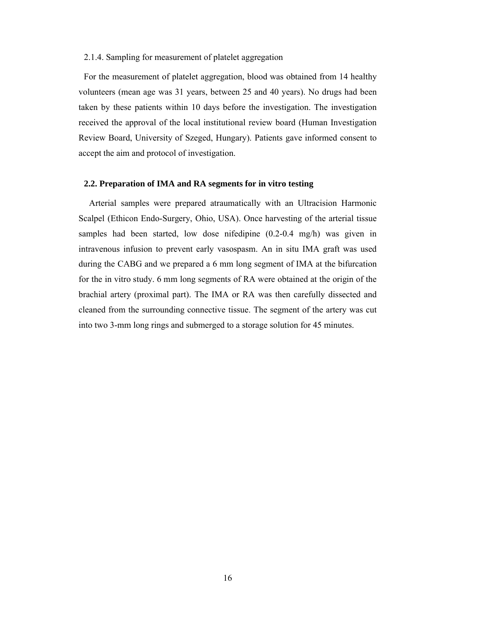# 2.1.4. Sampling for measurement of platelet aggregation

For the measurement of platelet aggregation, blood was obtained from 14 healthy volunteers (mean age was 31 years, between 25 and 40 years). No drugs had been taken by these patients within 10 days before the investigation. The investigation received the approval of the local institutional review board (Human Investigation Review Board, University of Szeged, Hungary). Patients gave informed consent to accept the aim and protocol of investigation.

#### **2.2. Preparation of IMA and RA segments for in vitro testing**

Arterial samples were prepared atraumatically with an Ultracision Harmonic Scalpel (Ethicon Endo-Surgery, Ohio, USA). Once harvesting of the arterial tissue samples had been started, low dose nifedipine (0.2-0.4 mg/h) was given in intravenous infusion to prevent early vasospasm. An in situ IMA graft was used during the CABG and we prepared a 6 mm long segment of IMA at the bifurcation for the in vitro study. 6 mm long segments of RA were obtained at the origin of the brachial artery (proximal part). The IMA or RA was then carefully dissected and cleaned from the surrounding connective tissue. The segment of the artery was cut into two 3-mm long rings and submerged to a storage solution for 45 minutes.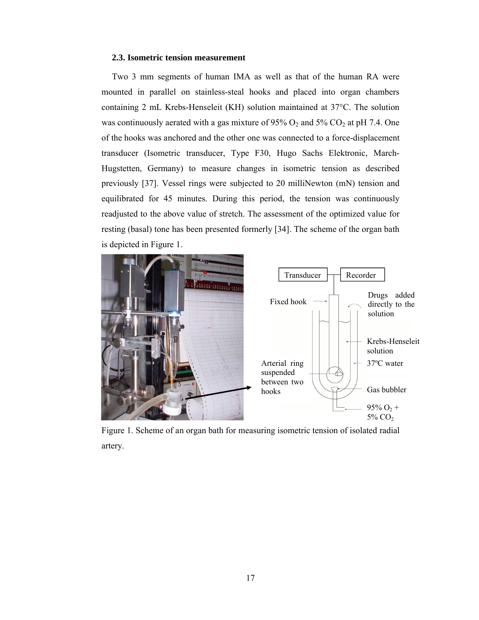### **2.3. Isometric tension measurement**

Two 3 mm segments of human IMA as well as that of the human RA were mounted in parallel on stainless-steal hooks and placed into organ chambers containing 2 mL Krebs-Henseleit (KH) solution maintained at 37°C. The solution was continuously aerated with a gas mixture of  $95\%$  O<sub>2</sub> and  $5\%$  CO<sub>2</sub> at pH 7.4. One of the hooks was anchored and the other one was connected to a force-displacement transducer (Isometric transducer, Type F30, Hugo Sachs Elektronic, March-Hugstetten, Germany) to measure changes in isometric tension as described previously [37]. Vessel rings were subjected to 20 milliNewton (mN) tension and equilibrated for 45 minutes. During this period, the tension was continuously readjusted to the above value of stretch. The assessment of the optimized value for resting (basal) tone has been presented formerly [34]. The scheme of the organ bath is depicted in Figure 1.



Figure 1. Scheme of an organ bath for measuring isometric tension of isolated radial artery.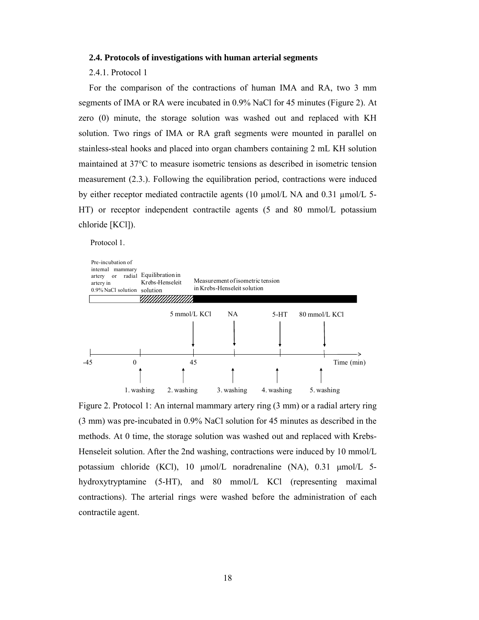#### **2.4. Protocols of investigations with human arterial segments**

#### 2.4.1. Protocol 1

For the comparison of the contractions of human IMA and RA, two 3 mm segments of IMA or RA were incubated in 0.9% NaCl for 45 minutes (Figure 2). At zero (0) minute, the storage solution was washed out and replaced with KH solution. Two rings of IMA or RA graft segments were mounted in parallel on stainless-steal hooks and placed into organ chambers containing 2 mL KH solution maintained at 37°C to measure isometric tensions as described in isometric tension measurement (2.3.). Following the equilibration period, contractions were induced by either receptor mediated contractile agents (10 µmol/L NA and 0.31 µmol/L 5- HT) or receptor independent contractile agents (5 and 80 mmol/L potassium chloride [KCl]).

Protocol 1.



Figure 2. Protocol 1: An internal mammary artery ring (3 mm) or a radial artery ring (3 mm) was pre-incubated in 0.9% NaCl solution for 45 minutes as described in the methods. At 0 time, the storage solution was washed out and replaced with Krebs-Henseleit solution. After the 2nd washing, contractions were induced by 10 mmol/L potassium chloride (KCl), 10 μmol/L noradrenaline (NA), 0.31 μmol/L 5 hydroxytryptamine (5-HT), and 80 mmol/L KCl (representing maximal contractions). The arterial rings were washed before the administration of each contractile agent.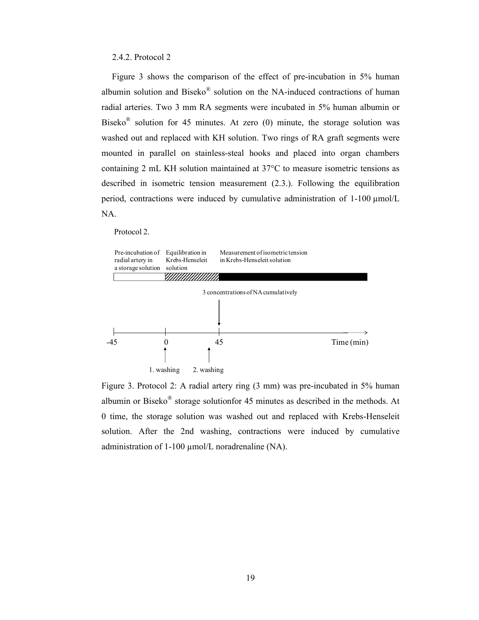# 2.4.2. Protocol 2

Figure 3 shows the comparison of the effect of pre-incubation in 5% human albumin solution and Biseko<sup>®</sup> solution on the NA-induced contractions of human radial arteries. Two 3 mm RA segments were incubated in 5% human albumin or Biseko<sup>®</sup> solution for 45 minutes. At zero  $(0)$  minute, the storage solution was washed out and replaced with KH solution. Two rings of RA graft segments were mounted in parallel on stainless-steal hooks and placed into organ chambers containing 2 mL KH solution maintained at 37°C to measure isometric tensions as described in isometric tension measurement (2.3.). Following the equilibration period, contractions were induced by cumulative administration of 1-100 µmol/L NA.

#### Protocol 2.



Figure 3. Protocol 2: A radial artery ring (3 mm) was pre-incubated in 5% human albumin or Biseko® storage solutionfor 45 minutes as described in the methods. At 0 time, the storage solution was washed out and replaced with Krebs-Henseleit solution. After the 2nd washing, contractions were induced by cumulative administration of 1-100 µmol/L noradrenaline (NA).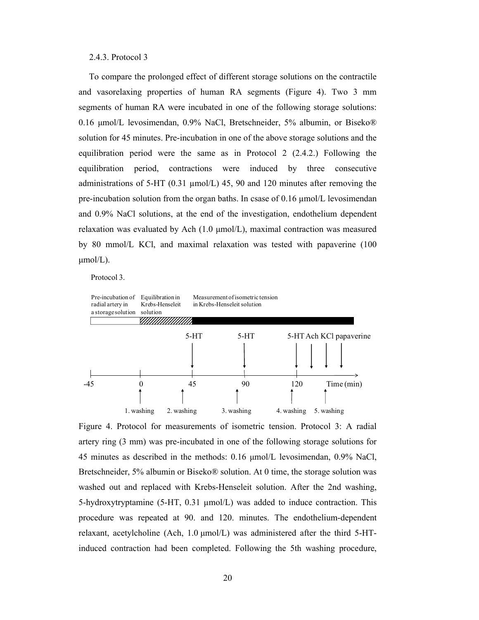# 2.4.3. Protocol 3

To compare the prolonged effect of different storage solutions on the contractile and vasorelaxing properties of human RA segments (Figure 4). Two 3 mm segments of human RA were incubated in one of the following storage solutions: 0.16 μmol/L levosimendan, 0.9% NaCl, Bretschneider, 5% albumin, or Biseko® solution for 45 minutes. Pre-incubation in one of the above storage solutions and the equilibration period were the same as in Protocol 2 (2.4.2.) Following the equilibration period, contractions were induced by three consecutive administrations of 5-HT (0.31  $\mu$ mol/L) 45, 90 and 120 minutes after removing the pre-incubation solution from the organ baths. In csase of  $0.16 \mu$  umol/L levosimendan and 0.9% NaCl solutions, at the end of the investigation, endothelium dependent relaxation was evaluated by Ach (1.0 μmol/L), maximal contraction was measured by 80 mmol/L KCl, and maximal relaxation was tested with papaverine (100  $\mu$ mol/L).

Protocol 3.



Figure 4. Protocol for measurements of isometric tension. Protocol 3: A radial artery ring (3 mm) was pre-incubated in one of the following storage solutions for 45 minutes as described in the methods: 0.16 μmol/L levosimendan, 0.9% NaCl, Bretschneider, 5% albumin or Biseko® solution. At 0 time, the storage solution was washed out and replaced with Krebs-Henseleit solution. After the 2nd washing, 5-hydroxytryptamine (5-HT, 0.31 µmol/L) was added to induce contraction. This procedure was repeated at 90. and 120. minutes. The endothelium-dependent relaxant, acetylcholine (Ach, 1.0 μmol/L) was administered after the third 5-HTinduced contraction had been completed. Following the 5th washing procedure,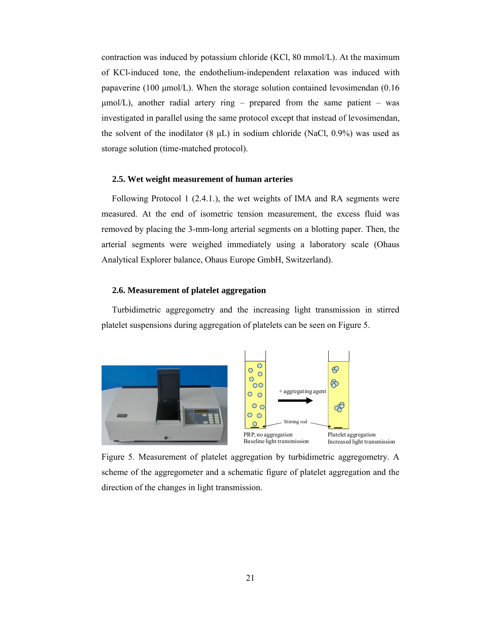contraction was induced by potassium chloride (KCl, 80 mmol/L). At the maximum of KCl-induced tone, the endothelium-independent relaxation was induced with papaverine (100 μmol/L). When the storage solution contained levosimendan (0.16  $\mu$ mol/L), another radial artery ring – prepared from the same patient – was investigated in parallel using the same protocol except that instead of levosimendan, the solvent of the inodilator  $(8 \mu L)$  in sodium chloride (NaCl, 0.9%) was used as storage solution (time-matched protocol).

## **2.5. Wet weight measurement of human arteries**

Following Protocol 1 (2.4.1.), the wet weights of IMA and RA segments were measured. At the end of isometric tension measurement, the excess fluid was removed by placing the 3-mm-long arterial segments on a blotting paper. Then, the arterial segments were weighed immediately using a laboratory scale (Ohaus Analytical Explorer balance, Ohaus Europe GmbH, Switzerland).

# **2.6. Measurement of platelet aggregation**

Turbidimetric aggregometry and the increasing light transmission in stirred platelet suspensions during aggregation of platelets can be seen on Figure 5.



Figure 5. Measurement of platelet aggregation by turbidimetric aggregometry. A scheme of the aggregometer and a schematic figure of platelet aggregation and the direction of the changes in light transmission.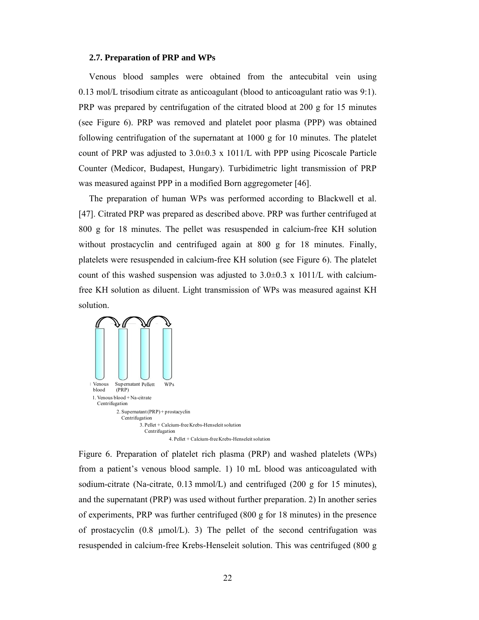#### **2.7. Preparation of PRP and WPs**

Venous blood samples were obtained from the antecubital vein using 0.13 mol/L trisodium citrate as anticoagulant (blood to anticoagulant ratio was 9:1). PRP was prepared by centrifugation of the citrated blood at 200 g for 15 minutes (see Figure 6). PRP was removed and platelet poor plasma (PPP) was obtained following centrifugation of the supernatant at 1000 g for 10 minutes. The platelet count of PRP was adjusted to  $3.0\pm0.3 \times 1011/L$  with PPP using Picoscale Particle Counter (Medicor, Budapest, Hungary). Turbidimetric light transmission of PRP was measured against PPP in a modified Born aggregometer [46].

The preparation of human WPs was performed according to Blackwell et al. [47]. Citrated PRP was prepared as described above. PRP was further centrifuged at 800 g for 18 minutes. The pellet was resuspended in calcium-free KH solution without prostacyclin and centrifuged again at 800 g for 18 minutes. Finally, platelets were resuspended in calcium-free KH solution (see Figure 6). The platelet count of this washed suspension was adjusted to  $3.0\pm0.3 \times 1011/L$  with calciumfree KH solution as diluent. Light transmission of WPs was measured against KH solution.



Figure 6. Preparation of platelet rich plasma (PRP) and washed platelets (WPs) from a patient's venous blood sample. 1) 10 mL blood was anticoagulated with sodium-citrate (Na-citrate, 0.13 mmol/L) and centrifuged (200 g for 15 minutes), and the supernatant (PRP) was used without further preparation. 2) In another series of experiments, PRP was further centrifuged (800 g for 18 minutes) in the presence of prostacyclin  $(0.8 \text{ \mu} \text{mol/L})$ . 3) The pellet of the second centrifugation was resuspended in calcium-free Krebs-Henseleit solution. This was centrifuged (800 g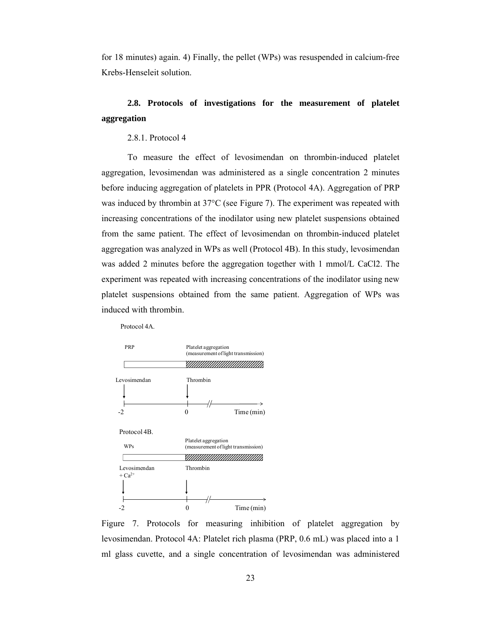for 18 minutes) again. 4) Finally, the pellet (WPs) was resuspended in calcium-free Krebs-Henseleit solution.

# **2.8. Protocols of investigations for the measurement of platelet aggregation**

# 2.8.1. Protocol 4

Protocol 4A.

To measure the effect of levosimendan on thrombin-induced platelet aggregation, levosimendan was administered as a single concentration 2 minutes before inducing aggregation of platelets in PPR (Protocol 4A). Aggregation of PRP was induced by thrombin at 37°C (see Figure 7). The experiment was repeated with increasing concentrations of the inodilator using new platelet suspensions obtained from the same patient. The effect of levosimendan on thrombin-induced platelet aggregation was analyzed in WPs as well (Protocol 4B). In this study, levosimendan was added 2 minutes before the aggregation together with 1 mmol/L CaCl2. The experiment was repeated with increasing concentrations of the inodilator using new platelet suspensions obtained from the same patient. Aggregation of WPs was induced with thrombin.



Figure 7. Protocols for measuring inhibition of platelet aggregation by levosimendan. Protocol 4A: Platelet rich plasma (PRP, 0.6 mL) was placed into a 1 ml glass cuvette, and a single concentration of levosimendan was administered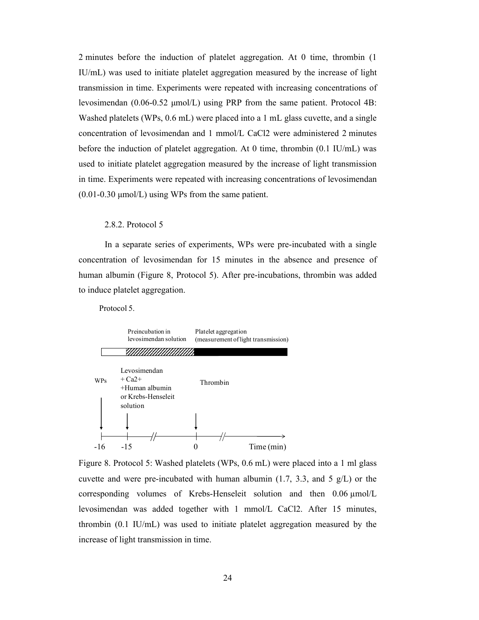2 minutes before the induction of platelet aggregation. At 0 time, thrombin (1 IU/mL) was used to initiate platelet aggregation measured by the increase of light transmission in time. Experiments were repeated with increasing concentrations of levosimendan (0.06-0.52 μmol/L) using PRP from the same patient. Protocol 4B: Washed platelets (WPs, 0.6 mL) were placed into a 1 mL glass cuvette, and a single concentration of levosimendan and 1 mmol/L CaCl2 were administered 2 minutes before the induction of platelet aggregation. At 0 time, thrombin (0.1 IU/mL) was used to initiate platelet aggregation measured by the increase of light transmission in time. Experiments were repeated with increasing concentrations of levosimendan (0.01-0.30 μmol/L) using WPs from the same patient.

## 2.8.2. Protocol 5

In a separate series of experiments, WPs were pre-incubated with a single concentration of levosimendan for 15 minutes in the absence and presence of human albumin (Figure 8, Protocol 5). After pre-incubations, thrombin was added to induce platelet aggregation.

Protocol 5.



Figure 8. Protocol 5: Washed platelets (WPs, 0.6 mL) were placed into a 1 ml glass cuvette and were pre-incubated with human albumin  $(1.7, 3.3, \text{ and } 5 \text{ g/L})$  or the corresponding volumes of Krebs-Henseleit solution and then 0.06 µmol/L levosimendan was added together with 1 mmol/L CaCl2. After 15 minutes, thrombin (0.1 IU/mL) was used to initiate platelet aggregation measured by the increase of light transmission in time.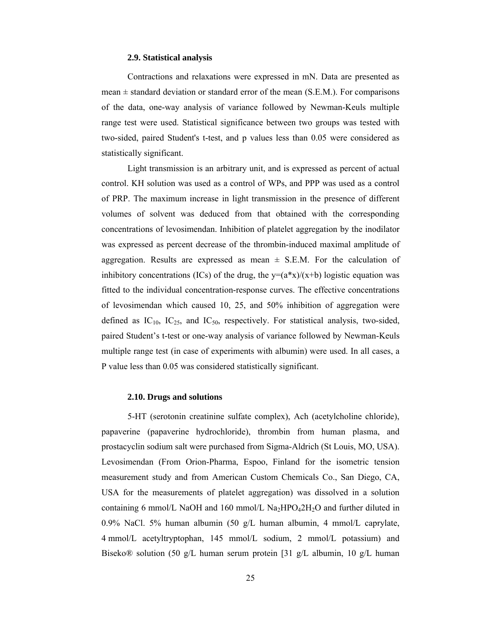### **2.9. Statistical analysis**

Contractions and relaxations were expressed in mN. Data are presented as mean  $\pm$  standard deviation or standard error of the mean (S.E.M.). For comparisons of the data, one-way analysis of variance followed by Newman-Keuls multiple range test were used. Statistical significance between two groups was tested with two-sided, paired Student's t-test, and p values less than 0.05 were considered as statistically significant.

Light transmission is an arbitrary unit, and is expressed as percent of actual control. KH solution was used as a control of WPs, and PPP was used as a control of PRP. The maximum increase in light transmission in the presence of different volumes of solvent was deduced from that obtained with the corresponding concentrations of levosimendan. Inhibition of platelet aggregation by the inodilator was expressed as percent decrease of the thrombin-induced maximal amplitude of aggregation. Results are expressed as mean  $\pm$  S.E.M. For the calculation of inhibitory concentrations (ICs) of the drug, the  $y=(a*x)/(x+b)$  logistic equation was fitted to the individual concentration-response curves. The effective concentrations of levosimendan which caused 10, 25, and 50% inhibition of aggregation were defined as  $IC_{10}$ ,  $IC_{25}$ , and  $IC_{50}$ , respectively. For statistical analysis, two-sided, paired Student's t-test or one-way analysis of variance followed by Newman-Keuls multiple range test (in case of experiments with albumin) were used. In all cases, a P value less than 0.05 was considered statistically significant.

#### **2.10. Drugs and solutions**

5-HT (serotonin creatinine sulfate complex), Ach (acetylcholine chloride), papaverine (papaverine hydrochloride), thrombin from human plasma, and prostacyclin sodium salt were purchased from Sigma-Aldrich (St Louis, MO, USA). Levosimendan (From Orion-Pharma, Espoo, Finland for the isometric tension measurement study and from American Custom Chemicals Co., San Diego, CA, USA for the measurements of platelet aggregation) was dissolved in a solution containing 6 mmol/L NaOH and 160 mmol/L Na2HPO42H<sub>2</sub>O and further diluted in 0.9% NaCl. 5% human albumin (50 g/L human albumin, 4 mmol/L caprylate, 4 mmol/L acetyltryptophan, 145 mmol/L sodium, 2 mmol/L potassium) and Biseko® solution (50 g/L human serum protein [31 g/L albumin, 10 g/L human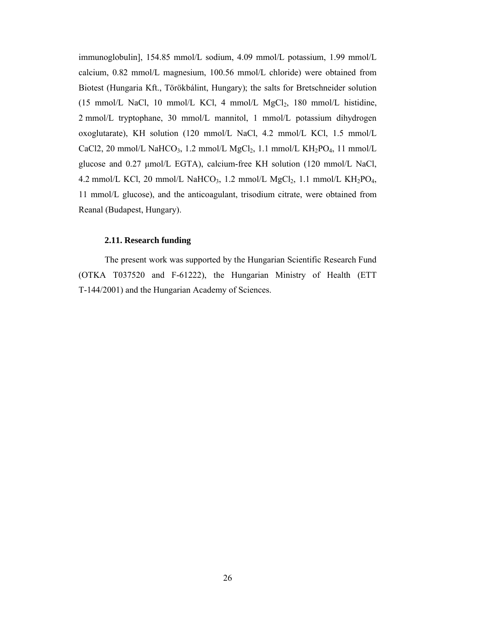immunoglobulin], 154.85 mmol/L sodium, 4.09 mmol/L potassium, 1.99 mmol/L calcium, 0.82 mmol/L magnesium, 100.56 mmol/L chloride) were obtained from Biotest (Hungaria Kft., Törökbálint, Hungary); the salts for Bretschneider solution (15 mmol/L NaCl, 10 mmol/L KCl, 4 mmol/L  $MgCl<sub>2</sub>$ , 180 mmol/L histidine, 2 mmol/L tryptophane, 30 mmol/L mannitol, 1 mmol/L potassium dihydrogen oxoglutarate), KH solution (120 mmol/L NaCl, 4.2 mmol/L KCl, 1.5 mmol/L CaCl2, 20 mmol/L NaHCO<sub>3</sub>, 1.2 mmol/L MgCl<sub>2</sub>, 1.1 mmol/L KH<sub>2</sub>PO<sub>4</sub>, 11 mmol/L glucose and 0.27 μmol/L EGTA), calcium-free KH solution (120 mmol/L NaCl, 4.2 mmol/L KCl, 20 mmol/L NaHCO<sub>3</sub>, 1.2 mmol/L MgCl<sub>2</sub>, 1.1 mmol/L KH<sub>2</sub>PO<sub>4</sub>, 11 mmol/L glucose), and the anticoagulant, trisodium citrate, were obtained from Reanal (Budapest, Hungary).

### **2.11. Research funding**

The present work was supported by the Hungarian Scientific Research Fund (OTKA T037520 and F-61222), the Hungarian Ministry of Health (ETT T-144/2001) and the Hungarian Academy of Sciences.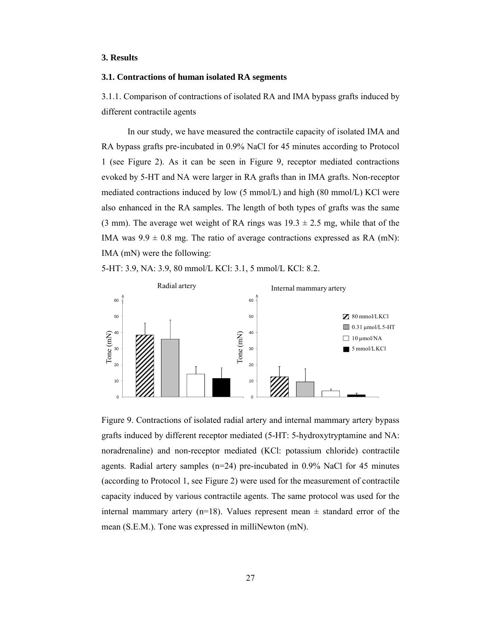### **3. Results**

# **3.1. Contractions of human isolated RA segments**

3.1.1. Comparison of contractions of isolated RA and IMA bypass grafts induced by different contractile agents

In our study, we have measured the contractile capacity of isolated IMA and RA bypass grafts pre-incubated in 0.9% NaCl for 45 minutes according to Protocol 1 (see Figure 2). As it can be seen in Figure 9, receptor mediated contractions evoked by 5-HT and NA were larger in RA grafts than in IMA grafts. Non-receptor mediated contractions induced by low (5 mmol/L) and high (80 mmol/L) KCl were also enhanced in the RA samples. The length of both types of grafts was the same (3 mm). The average wet weight of RA rings was  $19.3 \pm 2.5$  mg, while that of the IMA was  $9.9 \pm 0.8$  mg. The ratio of average contractions expressed as RA (mN): IMA (mN) were the following:





Figure 9. Contractions of isolated radial artery and internal mammary artery bypass grafts induced by different receptor mediated (5-HT: 5-hydroxytryptamine and NA: noradrenaline) and non-receptor mediated (KCl: potassium chloride) contractile agents. Radial artery samples (n=24) pre-incubated in 0.9% NaCl for 45 minutes (according to Protocol 1, see Figure 2) were used for the measurement of contractile capacity induced by various contractile agents. The same protocol was used for the internal mammary artery (n=18). Values represent mean  $\pm$  standard error of the mean (S.E.M.). Tone was expressed in milliNewton (mN).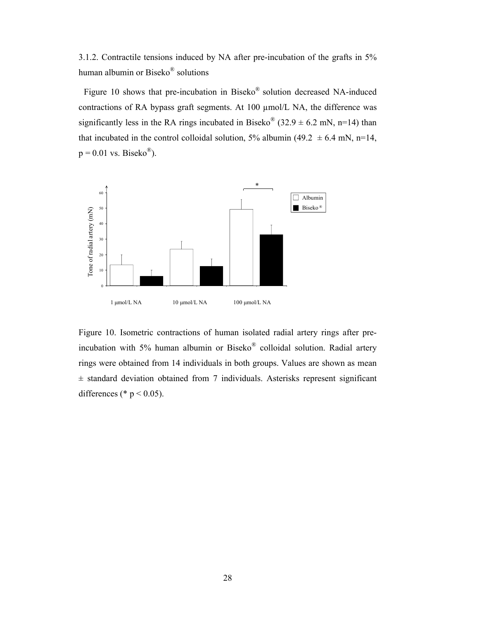3.1.2. Contractile tensions induced by NA after pre-incubation of the grafts in 5% human albumin or Biseko® solutions

Figure 10 shows that pre-incubation in Biseko® solution decreased NA-induced contractions of RA bypass graft segments. At 100 µmol/L NA, the difference was significantly less in the RA rings incubated in Biseko<sup>®</sup> (32.9  $\pm$  6.2 mN, n=14) than that incubated in the control colloidal solution, 5% albumin (49.2  $\pm$  6.4 mN, n=14,  $p = 0.01$  vs. Biseko<sup>®</sup>).



Figure 10. Isometric contractions of human isolated radial artery rings after preincubation with 5% human albumin or Biseko® colloidal solution. Radial artery rings were obtained from 14 individuals in both groups. Values are shown as mean  $±$  standard deviation obtained from 7 individuals. Asterisks represent significant differences (\*  $p < 0.05$ ).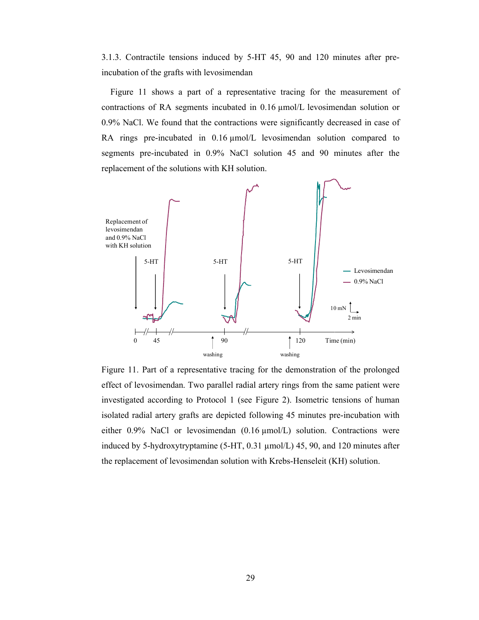3.1.3. Contractile tensions induced by 5-HT 45, 90 and 120 minutes after preincubation of the grafts with levosimendan

Figure 11 shows a part of a representative tracing for the measurement of contractions of RA segments incubated in 0.16 µmol/L levosimendan solution or 0.9% NaCl. We found that the contractions were significantly decreased in case of RA rings pre-incubated in 0.16  $\mu$ mol/L levosimendan solution compared to segments pre-incubated in 0.9% NaCl solution 45 and 90 minutes after the replacement of the solutions with KH solution.



Figure 11. Part of a representative tracing for the demonstration of the prolonged effect of levosimendan. Two parallel radial artery rings from the same patient were investigated according to Protocol 1 (see Figure 2). Isometric tensions of human isolated radial artery grafts are depicted following 45 minutes pre-incubation with either 0.9% NaCl or levosimendan (0.16 µmol/L) solution. Contractions were induced by 5-hydroxytryptamine (5-HT, 0.31 µmol/L) 45, 90, and 120 minutes after the replacement of levosimendan solution with Krebs-Henseleit (KH) solution.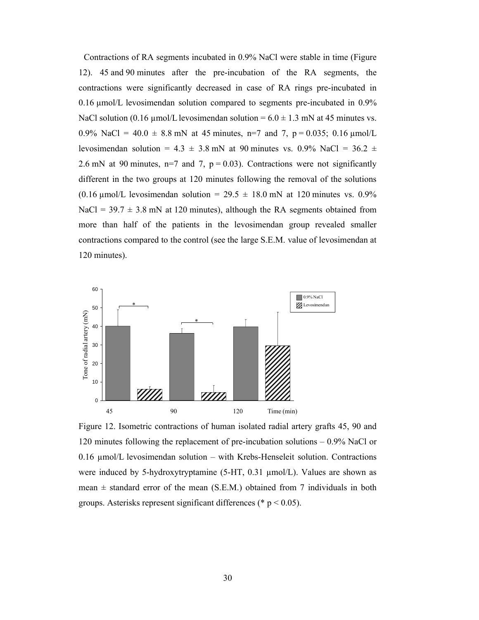Contractions of RA segments incubated in 0.9% NaCl were stable in time (Figure 12). 45 and 90 minutes after the pre-incubation of the RA segments, the contractions were significantly decreased in case of RA rings pre-incubated in 0.16 µmol/L levosimendan solution compared to segments pre-incubated in 0.9% NaCl solution (0.16  $\mu$ mol/L levosimendan solution = 6.0  $\pm$  1.3 mN at 45 minutes vs. 0.9% NaCl =  $40.0 \pm 8.8$  mN at 45 minutes, n=7 and 7, p = 0.035; 0.16  $\mu$ mol/L levosimendan solution =  $4.3 \pm 3.8$  mN at 90 minutes vs. 0.9% NaCl =  $36.2 \pm$ 2.6 mN at 90 minutes, n=7 and 7,  $p = 0.03$ ). Contractions were not significantly different in the two groups at 120 minutes following the removal of the solutions (0.16 µmol/L levosimendan solution =  $29.5 \pm 18.0$  mN at 120 minutes vs. 0.9% NaCl =  $39.7 \pm 3.8$  mN at 120 minutes), although the RA segments obtained from more than half of the patients in the levosimendan group revealed smaller contractions compared to the control (see the large S.E.M. value of levosimendan at 120 minutes).



Figure 12. Isometric contractions of human isolated radial artery grafts 45, 90 and 120 minutes following the replacement of pre-incubation solutions – 0.9% NaCl or 0.16 µmol/L levosimendan solution – with Krebs-Henseleit solution. Contractions were induced by 5-hydroxytryptamine (5-HT, 0.31 µmol/L). Values are shown as mean  $\pm$  standard error of the mean (S.E.M.) obtained from 7 individuals in both groups. Asterisks represent significant differences ( $\degree$  p < 0.05).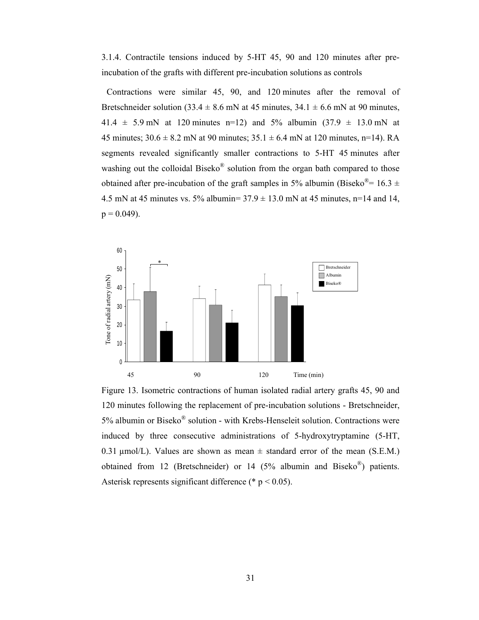3.1.4. Contractile tensions induced by 5-HT 45, 90 and 120 minutes after preincubation of the grafts with different pre-incubation solutions as controls

Contractions were similar 45, 90, and 120 minutes after the removal of Bretschneider solution (33.4  $\pm$  8.6 mN at 45 minutes, 34.1  $\pm$  6.6 mN at 90 minutes, 41.4  $\pm$  5.9 mN at 120 minutes n=12) and 5% albumin (37.9  $\pm$  13.0 mN at 45 minutes;  $30.6 \pm 8.2$  mN at 90 minutes;  $35.1 \pm 6.4$  mN at 120 minutes, n=14). RA segments revealed significantly smaller contractions to 5-HT 45 minutes after washing out the colloidal Biseko<sup>®</sup> solution from the organ bath compared to those obtained after pre-incubation of the graft samples in 5% albumin (Biseko<sup>®</sup>= 16.3 ± 4.5 mN at 45 minutes vs. 5% albumin=  $37.9 \pm 13.0$  mN at 45 minutes, n=14 and 14,  $p = 0.049$ ).



Figure 13. Isometric contractions of human isolated radial artery grafts 45, 90 and 120 minutes following the replacement of pre-incubation solutions - Bretschneider, 5% albumin or Biseko® solution - with Krebs-Henseleit solution. Contractions were induced by three consecutive administrations of 5-hydroxytryptamine (5-HT, 0.31  $\mu$ mol/L). Values are shown as mean  $\pm$  standard error of the mean (S.E.M.) obtained from 12 (Bretschneider) or 14 (5% albumin and Biseko<sup>®</sup>) patients. Asterisk represents significant difference (\*  $p < 0.05$ ).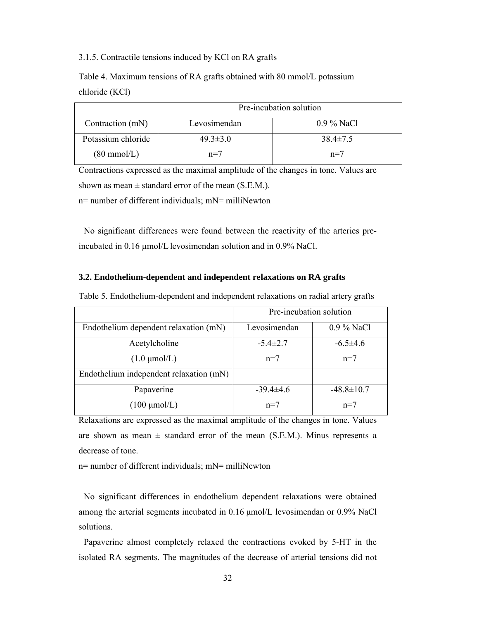# 3.1.5. Contractile tensions induced by KCl on RA grafts

Table 4. Maximum tensions of RA grafts obtained with 80 mmol/L potassium chloride (KCl)

|                       | Pre-incubation solution |                |  |
|-----------------------|-------------------------|----------------|--|
| Contraction (mN)      | Levosimendan            | $0.9\%$ NaCl   |  |
| Potassium chloride    | $49.3 \pm 3.0$          | $38.4 \pm 7.5$ |  |
| $(80 \text{ mmol/L})$ | $n=7$                   | $n=7$          |  |

Contractions expressed as the maximal amplitude of the changes in tone. Values are shown as mean  $\pm$  standard error of the mean (S.E.M.). n= number of different individuals; mN= milliNewton

No significant differences were found between the reactivity of the arteries preincubated in 0.16  $\mu$ mol/L levosimendan solution and in 0.9% NaCl.

## **3.2. Endothelium-dependent and independent relaxations on RA grafts**

|                                         | Pre-incubation solution |                  |
|-----------------------------------------|-------------------------|------------------|
| Endothelium dependent relaxation (mN)   | Levosimendan            | $0.9\%$ NaCl     |
| Acetylcholine                           | $-5.4 \pm 2.7$          | $-6.5\pm4.6$     |
| $(1.0 \mu \text{mol/L})$                | $n=7$                   | $n=7$            |
| Endothelium independent relaxation (mN) |                         |                  |
| Papaverine                              | $-39.4\pm4.6$           | $-48.8 \pm 10.7$ |
| $(100 \mu \text{mol/L})$                | $n=7$                   | $n=7$            |

Table 5. Endothelium-dependent and independent relaxations on radial artery grafts

Relaxations are expressed as the maximal amplitude of the changes in tone. Values are shown as mean  $\pm$  standard error of the mean (S.E.M.). Minus represents a decrease of tone.

n= number of different individuals; mN= milliNewton

No significant differences in endothelium dependent relaxations were obtained among the arterial segments incubated in 0.16 μmol/L levosimendan or 0.9% NaCl solutions.

Papaverine almost completely relaxed the contractions evoked by 5-HT in the isolated RA segments. The magnitudes of the decrease of arterial tensions did not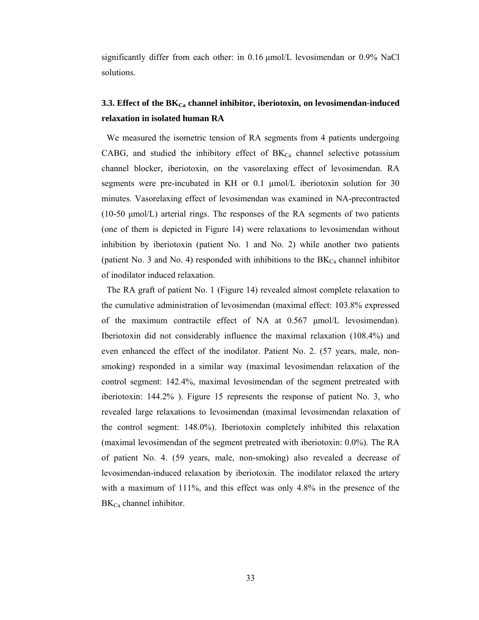significantly differ from each other: in 0.16 μmol/L levosimendan or 0.9% NaCl solutions.

# **3.3. Effect of the BK**<sub>Ca</sub> channel inhibitor, iberiotoxin, on levosimendan-induced **relaxation in isolated human RA**

We measured the isometric tension of RA segments from 4 patients undergoing CABG, and studied the inhibitory effect of  $BK_{Ca}$  channel selective potassium channel blocker, iberiotoxin, on the vasorelaxing effect of levosimendan. RA segments were pre-incubated in KH or 0.1 µmol/L iberiotoxin solution for 30 minutes. Vasorelaxing effect of levosimendan was examined in NA-precontracted (10-50 μmol/L) arterial rings. The responses of the RA segments of two patients (one of them is depicted in Figure 14) were relaxations to levosimendan without inhibition by iberiotoxin (patient No. 1 and No. 2) while another two patients (patient No. 3 and No. 4) responded with inhibitions to the  $BK_{Ca}$  channel inhibitor of inodilator induced relaxation.

The RA graft of patient No. 1 (Figure 14) revealed almost complete relaxation to the cumulative administration of levosimendan (maximal effect: 103.8% expressed of the maximum contractile effect of NA at 0.567 μmol/L levosimendan). Iberiotoxin did not considerably influence the maximal relaxation (108.4%) and even enhanced the effect of the inodilator. Patient No. 2. (57 years, male, nonsmoking) responded in a similar way (maximal levosimendan relaxation of the control segment: 142.4%, maximal levosimendan of the segment pretreated with iberiotoxin: 144.2% ). Figure 15 represents the response of patient No. 3, who revealed large relaxations to levosimendan (maximal levosimendan relaxation of the control segment: 148.0%). Iberiotoxin completely inhibited this relaxation (maximal levosimendan of the segment pretreated with iberiotoxin: 0.0%). The RA of patient No. 4. (59 years, male, non-smoking) also revealed a decrease of levosimendan-induced relaxation by iberiotoxin. The inodilator relaxed the artery with a maximum of 111%, and this effect was only 4.8% in the presence of the  $BK<sub>Ca</sub>$  channel inhibitor.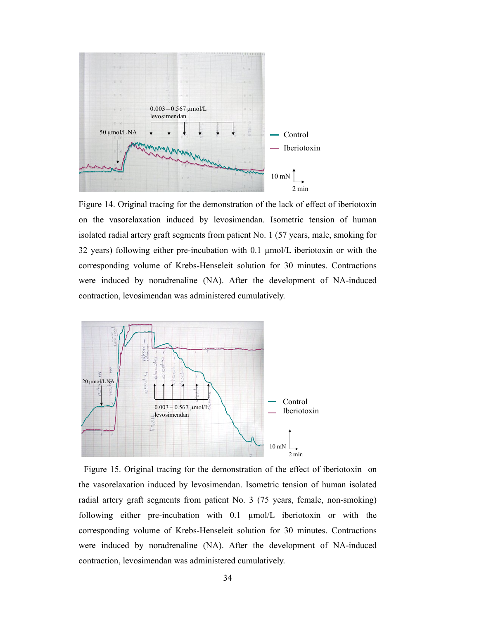

Figure 14. Original tracing for the demonstration of the lack of effect of iberiotoxin on the vasorelaxation induced by levosimendan. Isometric tension of human isolated radial artery graft segments from patient No. 1 (57 years, male, smoking for 32 years) following either pre-incubation with 0.1  $\mu$ mol/L iberiotoxin or with the corresponding volume of Krebs-Henseleit solution for 30 minutes. Contractions were induced by noradrenaline (NA). After the development of NA-induced contraction, levosimendan was administered cumulatively.



Figure 15. Original tracing for the demonstration of the effect of iberiotoxin on the vasorelaxation induced by levosimendan. Isometric tension of human isolated radial artery graft segments from patient No. 3 (75 years, female, non-smoking) following either pre-incubation with 0.1 µmol/L iberiotoxin or with the corresponding volume of Krebs-Henseleit solution for 30 minutes. Contractions were induced by noradrenaline (NA). After the development of NA-induced contraction, levosimendan was administered cumulatively.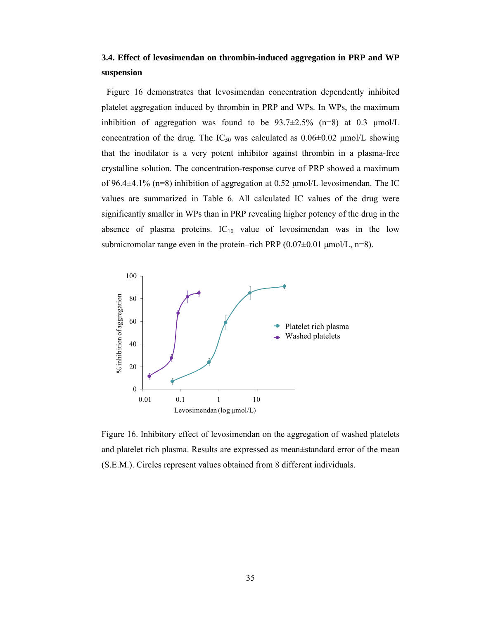# **3.4. Effect of levosimendan on thrombin-induced aggregation in PRP and WP suspension**

Figure 16 demonstrates that levosimendan concentration dependently inhibited platelet aggregation induced by thrombin in PRP and WPs. In WPs, the maximum inhibition of aggregation was found to be  $93.7\pm2.5\%$  (n=8) at 0.3  $\mu$ mol/L concentration of the drug. The  $IC_{50}$  was calculated as  $0.06\pm0.02$  µmol/L showing that the inodilator is a very potent inhibitor against thrombin in a plasma-free crystalline solution. The concentration-response curve of PRP showed a maximum of 96.4±4.1% (n=8) inhibition of aggregation at 0.52 μmol/L levosimendan. The IC values are summarized in Table 6. All calculated IC values of the drug were significantly smaller in WPs than in PRP revealing higher potency of the drug in the absence of plasma proteins.  $IC_{10}$  value of levosimendan was in the low submicromolar range even in the protein–rich PRP  $(0.07\pm0.01 \,\mu\text{mol/L}, \text{n=8})$ .



and platelet rich plasma. Results are expressed as mean±standard error of the mean (S.E.M.). Circles represent values obtained from 8 different individuals.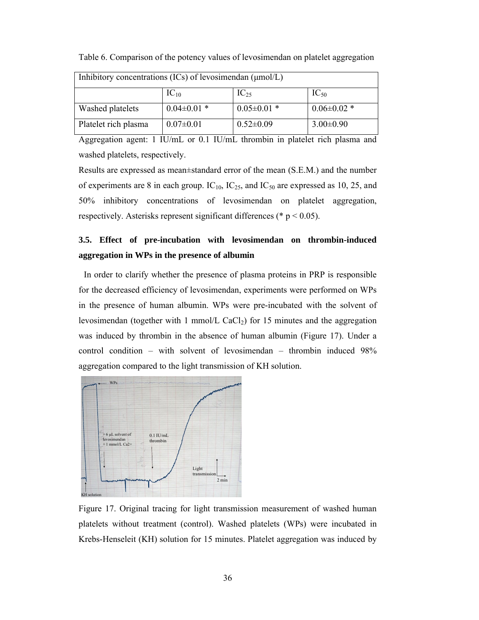| Inhibitory concentrations (ICs) of levosimendan $(\mu \text{mol/L})$ |                   |                   |                   |
|----------------------------------------------------------------------|-------------------|-------------------|-------------------|
|                                                                      | $IC_{10}$         | $IC_{25}$         | $IC_{50}$         |
| Washed platelets                                                     | $0.04 \pm 0.01$ * | $0.05 \pm 0.01$ * | $0.06 \pm 0.02$ * |
| Platelet rich plasma                                                 | $0.07 \pm 0.01$   | $0.52 \pm 0.09$   | $3.00 \pm 0.90$   |

Table 6. Comparison of the potency values of levosimendan on platelet aggregation

Aggregation agent: 1 IU/mL or 0.1 IU/mL thrombin in platelet rich plasma and washed platelets, respectively.

Results are expressed as mean±standard error of the mean (S.E.M.) and the number of experiments are 8 in each group.  $IC_{10}$ ,  $IC_{25}$ , and  $IC_{50}$  are expressed as 10, 25, and 50% inhibitory concentrations of levosimendan on platelet aggregation, respectively. Asterisks represent significant differences ( $p < 0.05$ ).

# **3.5. Effect of pre-incubation with levosimendan on thrombin-induced aggregation in WPs in the presence of albumin**

In order to clarify whether the presence of plasma proteins in PRP is responsible for the decreased efficiency of levosimendan, experiments were performed on WPs in the presence of human albumin. WPs were pre-incubated with the solvent of levosimendan (together with 1 mmol/L CaCl<sub>2</sub>) for 15 minutes and the aggregation was induced by thrombin in the absence of human albumin (Figure 17). Under a control condition – with solvent of levosimendan – thrombin induced 98% aggregation compared to the light transmission of KH solution.



Figure 17. Original tracing for light transmission measurement of washed human platelets without treatment (control). Washed platelets (WPs) were incubated in Krebs-Henseleit (KH) solution for 15 minutes. Platelet aggregation was induced by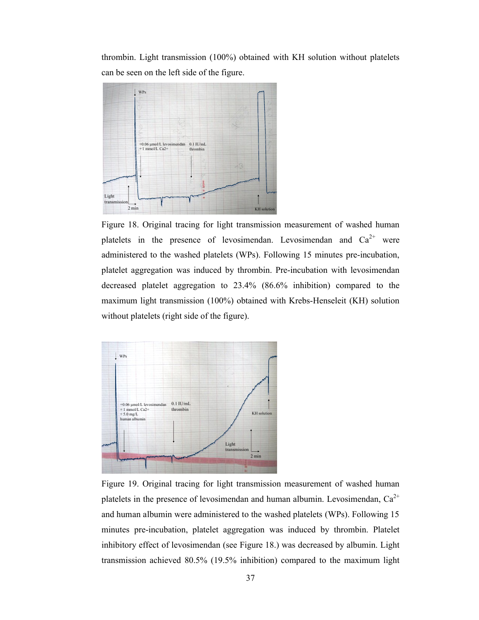thrombin. Light transmission (100%) obtained with KH solution without platelets can be seen on the left side of the figure.



Figure 18. Original tracing for light transmission measurement of washed human platelets in the presence of levosimendan. Levosimendan and  $Ca^{2+}$  were administered to the washed platelets (WPs). Following 15 minutes pre-incubation, platelet aggregation was induced by thrombin. Pre-incubation with levosimendan decreased platelet aggregation to 23.4% (86.6% inhibition) compared to the maximum light transmission (100%) obtained with Krebs-Henseleit (KH) solution without platelets (right side of the figure).



Figure 19. Original tracing for light transmission measurement of washed human platelets in the presence of levosimendan and human albumin. Levosimendan,  $Ca^{2+}$ and human albumin were administered to the washed platelets (WPs). Following 15 minutes pre-incubation, platelet aggregation was induced by thrombin. Platelet inhibitory effect of levosimendan (see Figure 18.) was decreased by albumin. Light transmission achieved 80.5% (19.5% inhibition) compared to the maximum light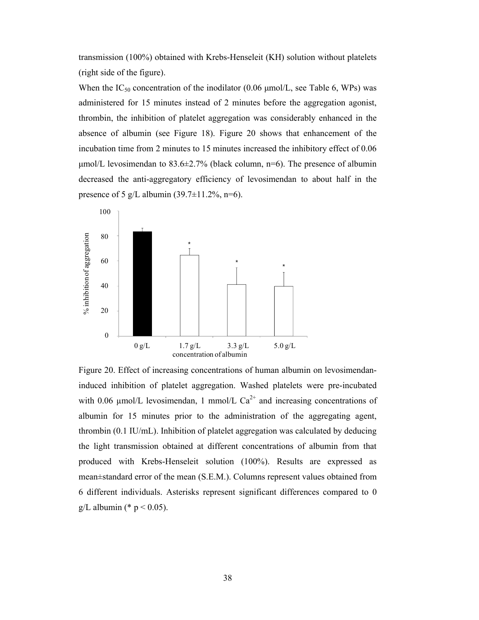transmission (100%) obtained with Krebs-Henseleit (KH) solution without platelets (right side of the figure).

When the IC<sub>50</sub> concentration of the inodilator (0.06  $\mu$ mol/L, see Table 6, WPs) was administered for 15 minutes instead of 2 minutes before the aggregation agonist, thrombin, the inhibition of platelet aggregation was considerably enhanced in the absence of albumin (see Figure 18). Figure 20 shows that enhancement of the incubation time from 2 minutes to 15 minutes increased the inhibitory effect of 0.06  $\mu$ mol/L levosimendan to 83.6 $\pm$ 2.7% (black column, n=6). The presence of albumin decreased the anti-aggregatory efficiency of levosimendan to about half in the presence of 5 g/L albumin (39.7 $\pm$ 11.2%, n=6).



Figure 20. Effect of increasing concentrations of human albumin on levosimendaninduced inhibition of platelet aggregation. Washed platelets were pre-incubated with 0.06  $\mu$ mol/L levosimendan, 1 mmol/L Ca<sup>2+</sup> and increasing concentrations of albumin for 15 minutes prior to the administration of the aggregating agent, thrombin (0.1 IU/mL). Inhibition of platelet aggregation was calculated by deducing the light transmission obtained at different concentrations of albumin from that produced with Krebs-Henseleit solution (100%). Results are expressed as mean±standard error of the mean (S.E.M.). Columns represent values obtained from 6 different individuals. Asterisks represent significant differences compared to 0 g/L albumin (\*  $p < 0.05$ ).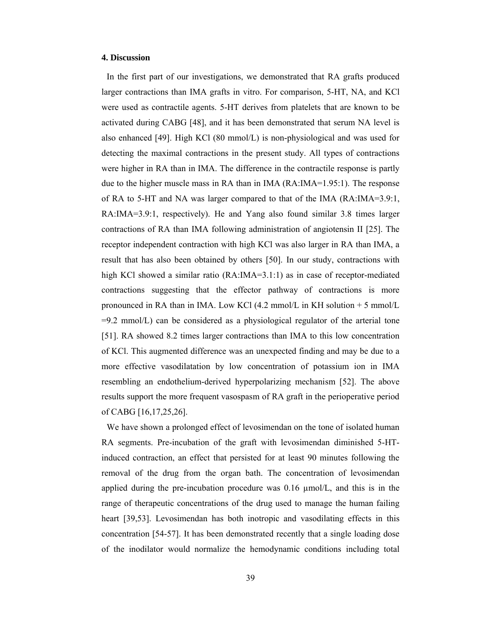#### **4. Discussion**

In the first part of our investigations, we demonstrated that RA grafts produced larger contractions than IMA grafts in vitro. For comparison, 5-HT, NA, and KCl were used as contractile agents. 5-HT derives from platelets that are known to be activated during CABG [48], and it has been demonstrated that serum NA level is also enhanced [49]. High KCl  $(80 \text{ mmol/L})$  is non-physiological and was used for detecting the maximal contractions in the present study. All types of contractions were higher in RA than in IMA. The difference in the contractile response is partly due to the higher muscle mass in RA than in IMA (RA:IMA=1.95:1). The response of RA to 5-HT and NA was larger compared to that of the IMA (RA:IMA=3.9:1, RA:IMA=3.9:1, respectively). He and Yang also found similar 3.8 times larger contractions of RA than IMA following administration of angiotensin II [25]. The receptor independent contraction with high KCl was also larger in RA than IMA, a result that has also been obtained by others [50]. In our study, contractions with high KCl showed a similar ratio (RA:IMA=3.1:1) as in case of receptor-mediated contractions suggesting that the effector pathway of contractions is more pronounced in RA than in IMA. Low KCl (4.2 mmol/L in KH solution + 5 mmol/L  $=9.2$  mmol/L) can be considered as a physiological regulator of the arterial tone [51]. RA showed 8.2 times larger contractions than IMA to this low concentration of KCl. This augmented difference was an unexpected finding and may be due to a more effective vasodilatation by low concentration of potassium ion in IMA resembling an endothelium-derived hyperpolarizing mechanism [52]. The above results support the more frequent vasospasm of RA graft in the perioperative period of CABG [16,17,25,26].

We have shown a prolonged effect of levosimendan on the tone of isolated human RA segments. Pre-incubation of the graft with levosimendan diminished 5-HTinduced contraction, an effect that persisted for at least 90 minutes following the removal of the drug from the organ bath. The concentration of levosimendan applied during the pre-incubation procedure was  $0.16 \mu mol/L$ , and this is in the range of therapeutic concentrations of the drug used to manage the human failing heart [39,53]. Levosimendan has both inotropic and vasodilating effects in this concentration [54-57]. It has been demonstrated recently that a single loading dose of the inodilator would normalize the hemodynamic conditions including total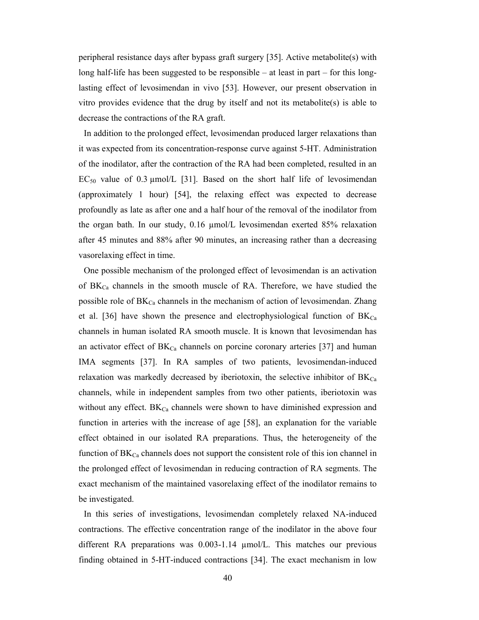peripheral resistance days after bypass graft surgery [35]. Active metabolite(s) with long half-life has been suggested to be responsible – at least in part – for this longlasting effect of levosimendan in vivo [53]. However, our present observation in vitro provides evidence that the drug by itself and not its metabolite(s) is able to decrease the contractions of the RA graft.

In addition to the prolonged effect, levosimendan produced larger relaxations than it was expected from its concentration-response curve against 5-HT. Administration of the inodilator, after the contraction of the RA had been completed, resulted in an  $EC_{50}$  value of 0.3  $\mu$ mol/L [31]. Based on the short half life of levosimendan (approximately 1 hour) [54], the relaxing effect was expected to decrease profoundly as late as after one and a half hour of the removal of the inodilator from the organ bath. In our study, 0.16 µmol/L levosimendan exerted 85% relaxation after 45 minutes and 88% after 90 minutes, an increasing rather than a decreasing vasorelaxing effect in time.

One possible mechanism of the prolonged effect of levosimendan is an activation of  $BK_{Ca}$  channels in the smooth muscle of RA. Therefore, we have studied the possible role of  $BK_{Ca}$  channels in the mechanism of action of levosimendan. Zhang et al. [36] have shown the presence and electrophysiological function of  $BK_{Ca}$ channels in human isolated RA smooth muscle. It is known that levosimendan has an activator effect of  $BK_{Ca}$  channels on porcine coronary arteries [37] and human IMA segments [37]. In RA samples of two patients, levosimendan-induced relaxation was markedly decreased by iberiotoxin, the selective inhibitor of  $BK_{Ca}$ channels, while in independent samples from two other patients, iberiotoxin was without any effect.  $BK_{Ca}$  channels were shown to have diminished expression and function in arteries with the increase of age [58], an explanation for the variable effect obtained in our isolated RA preparations. Thus, the heterogeneity of the function of  $BK_{Ca}$  channels does not support the consistent role of this ion channel in the prolonged effect of levosimendan in reducing contraction of RA segments. The exact mechanism of the maintained vasorelaxing effect of the inodilator remains to be investigated.

In this series of investigations, levosimendan completely relaxed NA-induced contractions. The effective concentration range of the inodilator in the above four different RA preparations was 0.003-1.14 µmol/L. This matches our previous finding obtained in 5-HT-induced contractions [34]. The exact mechanism in low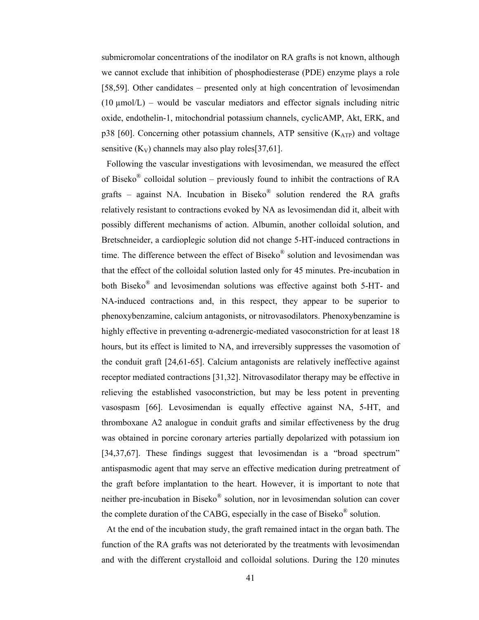submicromolar concentrations of the inodilator on RA grafts is not known, although we cannot exclude that inhibition of phosphodiesterase (PDE) enzyme plays a role [58,59]. Other candidates – presented only at high concentration of levosimendan  $(10 \mu \text{mol/L})$  – would be vascular mediators and effector signals including nitric oxide, endothelin-1, mitochondrial potassium channels, cyclicAMP, Akt, ERK, and p38 [60]. Concerning other potassium channels, ATP sensitive  $(K_{ATP})$  and voltage sensitive  $(K_V)$  channels may also play roles[37,61].

Following the vascular investigations with levosimendan, we measured the effect of Biseko<sup>®</sup> colloidal solution – previously found to inhibit the contractions of RA grafts – against NA. Incubation in Biseko<sup>®</sup> solution rendered the RA grafts relatively resistant to contractions evoked by NA as levosimendan did it, albeit with possibly different mechanisms of action. Albumin, another colloidal solution, and Bretschneider, a cardioplegic solution did not change 5-HT-induced contractions in time. The difference between the effect of Biseko $^{\circledR}$  solution and levosimendan was that the effect of the colloidal solution lasted only for 45 minutes. Pre-incubation in both Biseko® and levosimendan solutions was effective against both 5-HT- and NA-induced contractions and, in this respect, they appear to be superior to phenoxybenzamine, calcium antagonists, or nitrovasodilators. Phenoxybenzamine is highly effective in preventing α-adrenergic-mediated vasoconstriction for at least 18 hours, but its effect is limited to NA, and irreversibly suppresses the vasomotion of the conduit graft [24,61-65]. Calcium antagonists are relatively ineffective against receptor mediated contractions [31,32]. Nitrovasodilator therapy may be effective in relieving the established vasoconstriction, but may be less potent in preventing vasospasm [66]. Levosimendan is equally effective against NA, 5-HT, and thromboxane A2 analogue in conduit grafts and similar effectiveness by the drug was obtained in porcine coronary arteries partially depolarized with potassium ion [34,37,67]. These findings suggest that levosimendan is a "broad spectrum" antispasmodic agent that may serve an effective medication during pretreatment of the graft before implantation to the heart. However, it is important to note that neither pre-incubation in Biseko® solution, nor in levosimendan solution can cover the complete duration of the CABG, especially in the case of Biseko<sup>®</sup> solution.

At the end of the incubation study, the graft remained intact in the organ bath. The function of the RA grafts was not deteriorated by the treatments with levosimendan and with the different crystalloid and colloidal solutions. During the 120 minutes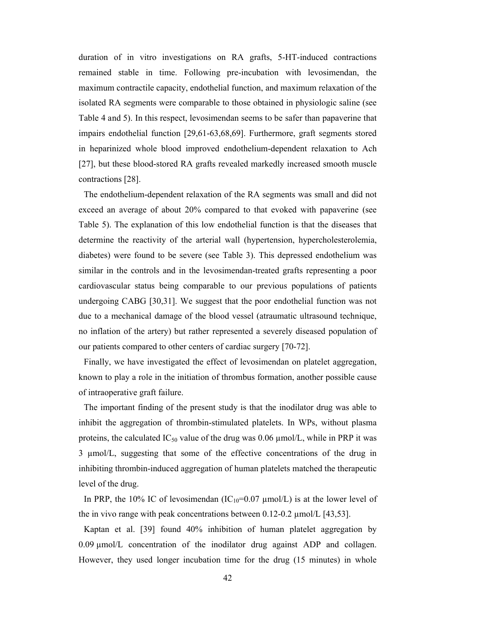duration of in vitro investigations on RA grafts, 5-HT-induced contractions remained stable in time. Following pre-incubation with levosimendan, the maximum contractile capacity, endothelial function, and maximum relaxation of the isolated RA segments were comparable to those obtained in physiologic saline (see Table 4 and 5). In this respect, levosimendan seems to be safer than papaverine that impairs endothelial function [29,61-63,68,69]. Furthermore, graft segments stored in heparinized whole blood improved endothelium-dependent relaxation to Ach [27], but these blood-stored RA grafts revealed markedly increased smooth muscle contractions [28].

The endothelium-dependent relaxation of the RA segments was small and did not exceed an average of about 20% compared to that evoked with papaverine (see Table 5). The explanation of this low endothelial function is that the diseases that determine the reactivity of the arterial wall (hypertension, hypercholesterolemia, diabetes) were found to be severe (see Table 3). This depressed endothelium was similar in the controls and in the levosimendan-treated grafts representing a poor cardiovascular status being comparable to our previous populations of patients undergoing CABG [30,31]. We suggest that the poor endothelial function was not due to a mechanical damage of the blood vessel (atraumatic ultrasound technique, no inflation of the artery) but rather represented a severely diseased population of our patients compared to other centers of cardiac surgery [70-72].

Finally, we have investigated the effect of levosimendan on platelet aggregation, known to play a role in the initiation of thrombus formation, another possible cause of intraoperative graft failure.

The important finding of the present study is that the inodilator drug was able to inhibit the aggregation of thrombin-stimulated platelets. In WPs, without plasma proteins, the calculated  $IC_{50}$  value of the drug was 0.06  $\mu$ mol/L, while in PRP it was 3 µmol/L, suggesting that some of the effective concentrations of the drug in inhibiting thrombin-induced aggregation of human platelets matched the therapeutic level of the drug.

In PRP, the 10% IC of levosimendan ( $IC_{10}=0.07 \mu$ mol/L) is at the lower level of the in vivo range with peak concentrations between  $0.12$ -0.2  $\mu$ mol/L [43,53].

Kaptan et al. [39] found 40% inhibition of human platelet aggregation by 0.09 µmol/L concentration of the inodilator drug against ADP and collagen. However, they used longer incubation time for the drug (15 minutes) in whole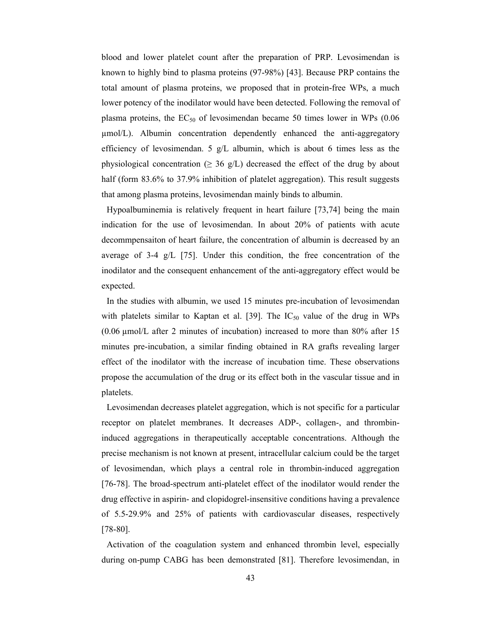blood and lower platelet count after the preparation of PRP. Levosimendan is known to highly bind to plasma proteins (97-98%) [43]. Because PRP contains the total amount of plasma proteins, we proposed that in protein-free WPs, a much lower potency of the inodilator would have been detected. Following the removal of plasma proteins, the  $EC_{50}$  of levosimendan became 50 times lower in WPs (0.06 µmol/L). Albumin concentration dependently enhanced the anti-aggregatory efficiency of levosimendan. 5  $g/L$  albumin, which is about 6 times less as the physiological concentration ( $\geq$  36 g/L) decreased the effect of the drug by about half (form 83.6% to 37.9% inhibition of platelet aggregation). This result suggests that among plasma proteins, levosimendan mainly binds to albumin.

Hypoalbuminemia is relatively frequent in heart failure [73,74] being the main indication for the use of levosimendan. In about 20% of patients with acute decommpensaiton of heart failure, the concentration of albumin is decreased by an average of 3-4 g/L  $[75]$ . Under this condition, the free concentration of the inodilator and the consequent enhancement of the anti-aggregatory effect would be expected.

In the studies with albumin, we used 15 minutes pre-incubation of levosimendan with platelets similar to Kaptan et al. [39]. The  $IC_{50}$  value of the drug in WPs (0.06 µmol/L after 2 minutes of incubation) increased to more than 80% after 15 minutes pre-incubation, a similar finding obtained in RA grafts revealing larger effect of the inodilator with the increase of incubation time. These observations propose the accumulation of the drug or its effect both in the vascular tissue and in platelets.

Levosimendan decreases platelet aggregation, which is not specific for a particular receptor on platelet membranes. It decreases ADP-, collagen-, and thrombininduced aggregations in therapeutically acceptable concentrations. Although the precise mechanism is not known at present, intracellular calcium could be the target of levosimendan, which plays a central role in thrombin-induced aggregation [76-78]. The broad-spectrum anti-platelet effect of the inodilator would render the drug effective in aspirin- and clopidogrel-insensitive conditions having a prevalence of 5.5-29.9% and 25% of patients with cardiovascular diseases, respectively [78-80].

Activation of the coagulation system and enhanced thrombin level, especially during on-pump CABG has been demonstrated [81]. Therefore levosimendan, in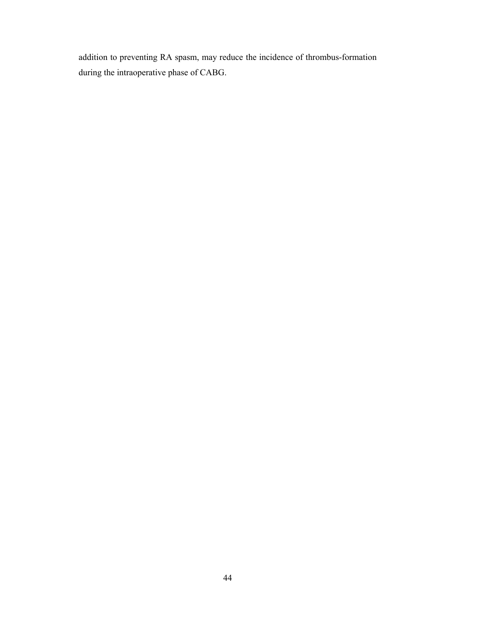addition to preventing RA spasm, may reduce the incidence of thrombus-formation during the intraoperative phase of CABG.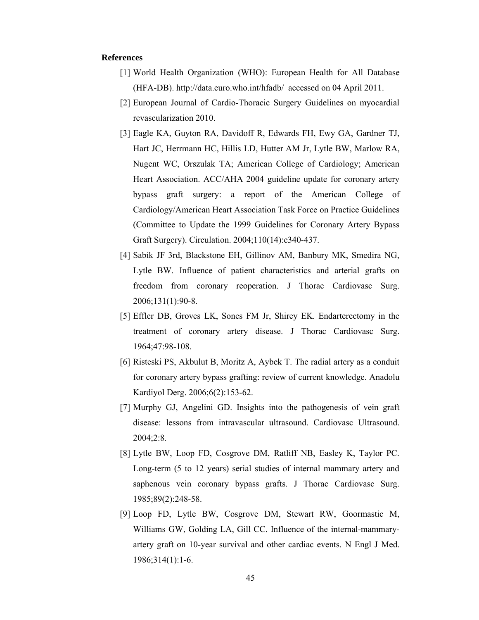## **References**

- [1] World Health Organization (WHO): European Health for All Database (HFA-DB). http://data.euro.who.int/hfadb/ accessed on 04 April 2011.
- [2] European Journal of Cardio-Thoracic Surgery Guidelines on myocardial revascularization 2010.
- [3] Eagle KA, Guyton RA, Davidoff R, Edwards FH, Ewy GA, Gardner TJ, Hart JC, Herrmann HC, Hillis LD, Hutter AM Jr, Lytle BW, Marlow RA, Nugent WC, Orszulak TA; American College of Cardiology; American Heart Association. ACC/AHA 2004 guideline update for coronary artery bypass graft surgery: a report of the American College of Cardiology/American Heart Association Task Force on Practice Guidelines (Committee to Update the 1999 Guidelines for Coronary Artery Bypass Graft Surgery). Circulation. 2004;110(14):e340-437.
- [4] Sabik JF 3rd, Blackstone EH, Gillinov AM, Banbury MK, Smedira NG, Lytle BW. Influence of patient characteristics and arterial grafts on freedom from coronary reoperation. J Thorac Cardiovasc Surg. 2006;131(1):90-8.
- [5] Effler DB, Groves LK, Sones FM Jr, Shirey EK. Endarterectomy in the treatment of coronary artery disease. J Thorac Cardiovasc Surg. 1964;47:98-108.
- [6] Risteski PS, Akbulut B, Moritz A, Aybek T. The radial artery as a conduit for coronary artery bypass grafting: review of current knowledge. Anadolu Kardiyol Derg. 2006;6(2):153-62.
- [7] Murphy GJ, Angelini GD. Insights into the pathogenesis of vein graft disease: lessons from intravascular ultrasound. Cardiovasc Ultrasound. 2004;2:8.
- [8] Lytle BW, Loop FD, Cosgrove DM, Ratliff NB, Easley K, Taylor PC. Long-term (5 to 12 years) serial studies of internal mammary artery and saphenous vein coronary bypass grafts. J Thorac Cardiovasc Surg. 1985;89(2):248-58.
- [9] Loop FD, Lytle BW, Cosgrove DM, Stewart RW, Goormastic M, Williams GW, Golding LA, Gill CC. Influence of the internal-mammaryartery graft on 10-year survival and other cardiac events. N Engl J Med. 1986;314(1):1-6.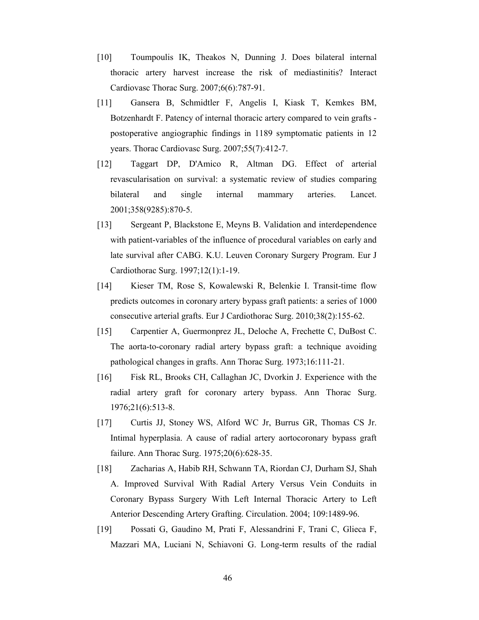- [10] Toumpoulis IK, Theakos N, Dunning J. Does bilateral internal thoracic artery harvest increase the risk of mediastinitis? Interact Cardiovasc Thorac Surg. 2007;6(6):787-91.
- [11] Gansera B, Schmidtler F, Angelis I, Kiask T, Kemkes BM, Botzenhardt F. Patency of internal thoracic artery compared to vein grafts postoperative angiographic findings in 1189 symptomatic patients in 12 years. Thorac Cardiovasc Surg. 2007;55(7):412-7.
- [12] Taggart DP, D'Amico R, Altman DG. Effect of arterial revascularisation on survival: a systematic review of studies comparing bilateral and single internal mammary arteries. Lancet. 2001;358(9285):870-5.
- [13] Sergeant P, Blackstone E, Meyns B. Validation and interdependence with patient-variables of the influence of procedural variables on early and late survival after CABG. K.U. Leuven Coronary Surgery Program. Eur J Cardiothorac Surg. 1997;12(1):1-19.
- [14] Kieser TM, Rose S, Kowalewski R, Belenkie I. Transit-time flow predicts outcomes in coronary artery bypass graft patients: a series of 1000 consecutive arterial grafts. Eur J Cardiothorac Surg. 2010;38(2):155-62.
- [15] Carpentier A, Guermonprez JL, Deloche A, Frechette C, DuBost C. The aorta-to-coronary radial artery bypass graft: a technique avoiding pathological changes in grafts. Ann Thorac Surg. 1973;16:111-21.
- [16] Fisk RL, Brooks CH, Callaghan JC, Dvorkin J. Experience with the radial artery graft for coronary artery bypass. Ann Thorac Surg. 1976;21(6):513-8.
- [17] Curtis JJ, Stoney WS, Alford WC Jr, Burrus GR, Thomas CS Jr. Intimal hyperplasia. A cause of radial artery aortocoronary bypass graft failure. Ann Thorac Surg. 1975;20(6):628-35.
- [18] Zacharias A, Habib RH, Schwann TA, Riordan CJ, Durham SJ, Shah A. Improved Survival With Radial Artery Versus Vein Conduits in Coronary Bypass Surgery With Left Internal Thoracic Artery to Left Anterior Descending Artery Grafting. Circulation. 2004; 109:1489-96.
- [19] Possati G, Gaudino M, Prati F, Alessandrini F, Trani C, Glieca F, Mazzari MA, Luciani N, Schiavoni G. Long-term results of the radial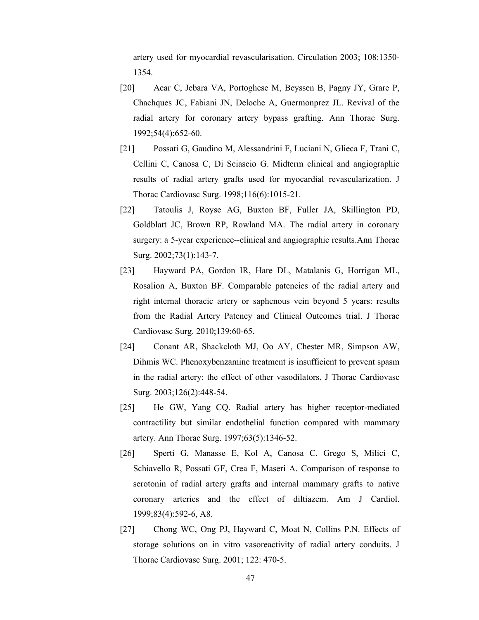artery used for myocardial revascularisation. Circulation 2003; 108:1350- 1354.

- [20] Acar C, Jebara VA, Portoghese M, Beyssen B, Pagny JY, Grare P, Chachques JC, Fabiani JN, Deloche A, Guermonprez JL. Revival of the radial artery for coronary artery bypass grafting. Ann Thorac Surg. 1992;54(4):652-60.
- [21] Possati G, Gaudino M, Alessandrini F, Luciani N, Glieca F, Trani C, Cellini C, Canosa C, Di Sciascio G. Midterm clinical and angiographic results of radial artery grafts used for myocardial revascularization. J Thorac Cardiovasc Surg. 1998;116(6):1015-21.
- [22] Tatoulis J, Royse AG, Buxton BF, Fuller JA, Skillington PD, Goldblatt JC, Brown RP, Rowland MA. The radial artery in coronary surgery: a 5-year experience--clinical and angiographic results.Ann Thorac Surg. 2002;73(1):143-7.
- [23] Hayward PA, Gordon IR, Hare DL, Matalanis G, Horrigan ML, Rosalion A, Buxton BF. Comparable patencies of the radial artery and right internal thoracic artery or saphenous vein beyond 5 years: results from the Radial Artery Patency and Clinical Outcomes trial. J Thorac Cardiovasc Surg. 2010;139:60-65.
- [24] Conant AR, Shackcloth MJ, Oo AY, Chester MR, Simpson AW, Dihmis WC. Phenoxybenzamine treatment is insufficient to prevent spasm in the radial artery: the effect of other vasodilators. J Thorac Cardiovasc Surg. 2003;126(2):448-54.
- [25] He GW, Yang CQ. Radial artery has higher receptor-mediated contractility but similar endothelial function compared with mammary artery. Ann Thorac Surg. 1997;63(5):1346-52.
- [26] Sperti G, Manasse E, Kol A, Canosa C, Grego S, Milici C, Schiavello R, Possati GF, Crea F, Maseri A. Comparison of response to serotonin of radial artery grafts and internal mammary grafts to native coronary arteries and the effect of diltiazem. Am J Cardiol. 1999;83(4):592-6, A8.
- [27] Chong WC, Ong PJ, Hayward C, Moat N, Collins P.N. Effects of storage solutions on in vitro vasoreactivity of radial artery conduits. J Thorac Cardiovasc Surg. 2001; 122: 470-5.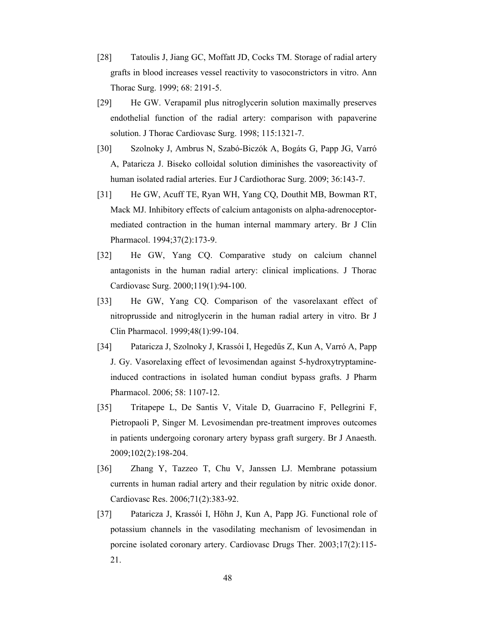- [28] Tatoulis J, Jiang GC, Moffatt JD, Cocks TM. Storage of radial artery grafts in blood increases vessel reactivity to vasoconstrictors in vitro. Ann Thorac Surg. 1999; 68: 2191-5.
- [29] He GW. Verapamil plus nitroglycerin solution maximally preserves endothelial function of the radial artery: comparison with papaverine solution. J Thorac Cardiovasc Surg. 1998; 115:1321-7.
- [30] Szolnoky J, Ambrus N, Szabó-Biczók A, Bogáts G, Papp JG, Varró A, Pataricza J. Biseko colloidal solution diminishes the vasoreactivity of human isolated radial arteries. Eur J Cardiothorac Surg. 2009; 36:143-7.
- [31] He GW, Acuff TE, Ryan WH, Yang CQ, Douthit MB, Bowman RT, Mack MJ. Inhibitory effects of calcium antagonists on alpha-adrenoceptormediated contraction in the human internal mammary artery. Br J Clin Pharmacol. 1994;37(2):173-9.
- [32] He GW, Yang CQ. Comparative study on calcium channel antagonists in the human radial artery: clinical implications. J Thorac Cardiovasc Surg. 2000;119(1):94-100.
- [33] He GW, Yang CQ. Comparison of the vasorelaxant effect of nitroprusside and nitroglycerin in the human radial artery in vitro. Br J Clin Pharmacol. 1999;48(1):99-104.
- [34] Pataricza J, Szolnoky J, Krassói I, Hegedűs Z, Kun A, Varró A, Papp J. Gy. Vasorelaxing effect of levosimendan against 5-hydroxytryptamineinduced contractions in isolated human condiut bypass grafts. J Pharm Pharmacol. 2006; 58: 1107-12.
- [35] Tritapepe L, De Santis V, Vitale D, Guarracino F, Pellegrini F, Pietropaoli P, Singer M. Levosimendan pre-treatment improves outcomes in patients undergoing coronary artery bypass graft surgery. Br J Anaesth. 2009;102(2):198-204.
- [36] Zhang Y, Tazzeo T, Chu V, Janssen LJ. Membrane potassium currents in human radial artery and their regulation by nitric oxide donor. Cardiovasc Res. 2006;71(2):383-92.
- [37] Pataricza J, Krassói I, Höhn J, Kun A, Papp JG. Functional role of potassium channels in the vasodilating mechanism of levosimendan in porcine isolated coronary artery. Cardiovasc Drugs Ther. 2003;17(2):115- 21.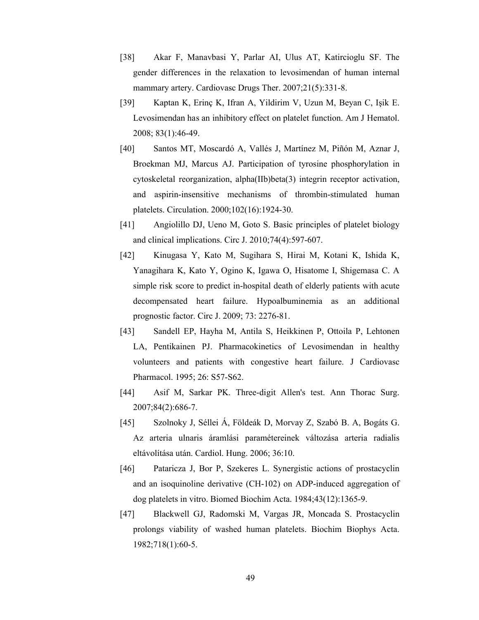- [38] Akar F, Manavbasi Y, Parlar AI, Ulus AT, Katircioglu SF. The gender differences in the relaxation to levosimendan of human internal mammary artery. Cardiovasc Drugs Ther. 2007;21(5):331-8.
- [39] Kaptan K, Erinç K, Ifran A, Yildirim V, Uzun M, Beyan C, Işik E. Levosimendan has an inhibitory effect on platelet function. Am J Hematol. 2008; 83(1):46-49.
- [40] Santos MT, Moscardó A, Vallés J, Martínez M, Piñón M, Aznar J, Broekman MJ, Marcus AJ. Participation of tyrosine phosphorylation in cytoskeletal reorganization, alpha(IIb)beta(3) integrin receptor activation, and aspirin-insensitive mechanisms of thrombin-stimulated human platelets. Circulation. 2000;102(16):1924-30.
- [41] Angiolillo DJ, Ueno M, Goto S. Basic principles of platelet biology and clinical implications. Circ J. 2010;74(4):597-607.
- [42] Kinugasa Y, Kato M, Sugihara S, Hirai M, Kotani K, Ishida K, Yanagihara K, Kato Y, Ogino K, Igawa O, Hisatome I, Shigemasa C. A simple risk score to predict in-hospital death of elderly patients with acute decompensated heart failure. Hypoalbuminemia as an additional prognostic factor. Circ J. 2009; 73: 2276-81.
- [43] Sandell EP, Hayha M, Antila S, Heikkinen P, Ottoila P, Lehtonen LA, Pentikainen PJ. Pharmacokinetics of Levosimendan in healthy volunteers and patients with congestive heart failure. J Cardiovasc Pharmacol. 1995; 26: S57-S62.
- [44] Asif M, Sarkar PK. Three-digit Allen's test. Ann Thorac Surg. 2007;84(2):686-7.
- [45] Szolnoky J, Séllei Á, Földeák D, Morvay Z, Szabó B. A, Bogáts G. Az arteria ulnaris áramlási paramétereinek változása arteria radialis eltávolítása után. Cardiol. Hung. 2006; 36:10.
- [46] Pataricza J, Bor P, Szekeres L. Synergistic actions of prostacyclin and an isoquinoline derivative (CH-102) on ADP-induced aggregation of dog platelets in vitro. Biomed Biochim Acta. 1984;43(12):1365-9.
- [47] Blackwell GJ, Radomski M, Vargas JR, Moncada S. Prostacyclin prolongs viability of washed human platelets. Biochim Biophys Acta. 1982;718(1):60-5.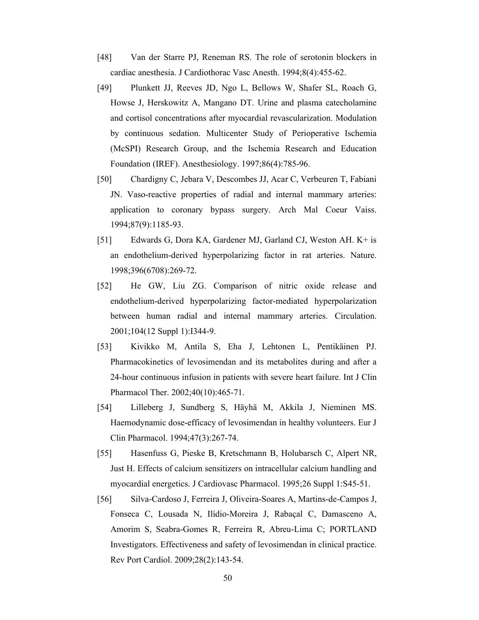- [48] Van der Starre PJ, Reneman RS. The role of serotonin blockers in cardiac anesthesia. J Cardiothorac Vasc Anesth. 1994;8(4):455-62.
- [49] Plunkett JJ, Reeves JD, Ngo L, Bellows W, Shafer SL, Roach G, Howse J, Herskowitz A, Mangano DT. Urine and plasma catecholamine and cortisol concentrations after myocardial revascularization. Modulation by continuous sedation. Multicenter Study of Perioperative Ischemia (McSPI) Research Group, and the Ischemia Research and Education Foundation (IREF). Anesthesiology. 1997;86(4):785-96.
- [50] Chardigny C, Jebara V, Descombes JJ, Acar C, Verbeuren T, Fabiani JN. Vaso-reactive properties of radial and internal mammary arteries: application to coronary bypass surgery. Arch Mal Coeur Vaiss. 1994;87(9):1185-93.
- [51] Edwards G, Dora KA, Gardener MJ, Garland CJ, Weston AH. K+ is an endothelium-derived hyperpolarizing factor in rat arteries. Nature. 1998;396(6708):269-72.
- [52] He GW, Liu ZG. Comparison of nitric oxide release and endothelium-derived hyperpolarizing factor-mediated hyperpolarization between human radial and internal mammary arteries. Circulation. 2001;104(12 Suppl 1):I344-9.
- [53] Kivikko M, Antila S, Eha J, Lehtonen L, Pentikäinen PJ. Pharmacokinetics of levosimendan and its metabolites during and after a 24-hour continuous infusion in patients with severe heart failure. Int J Clin Pharmacol Ther. 2002;40(10):465-71.
- [54] Lilleberg J, Sundberg S, Häyhä M, Akkila J, Nieminen MS. Haemodynamic dose-efficacy of levosimendan in healthy volunteers. Eur J Clin Pharmacol. 1994;47(3):267-74.
- [55] Hasenfuss G, Pieske B, Kretschmann B, Holubarsch C, Alpert NR, Just H. Effects of calcium sensitizers on intracellular calcium handling and myocardial energetics. J Cardiovasc Pharmacol. 1995;26 Suppl 1:S45-51.
- [56] Silva-Cardoso J, Ferreira J, Oliveira-Soares A, Martins-de-Campos J, Fonseca C, Lousada N, Ilídio-Moreira J, Rabaçal C, Damasceno A, Amorim S, Seabra-Gomes R, Ferreira R, Abreu-Lima C; PORTLAND Investigators. Effectiveness and safety of levosimendan in clinical practice. Rev Port Cardiol. 2009;28(2):143-54.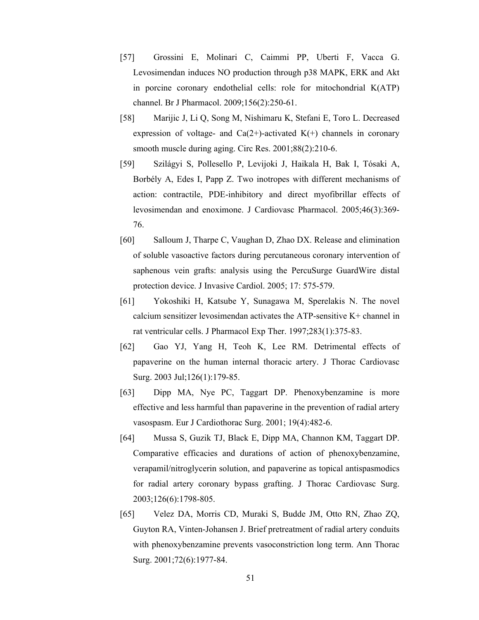- [57] Grossini E, Molinari C, Caimmi PP, Uberti F, Vacca G. Levosimendan induces NO production through p38 MAPK, ERK and Akt in porcine coronary endothelial cells: role for mitochondrial K(ATP) channel. Br J Pharmacol. 2009;156(2):250-61.
- [58] Marijic J, Li Q, Song M, Nishimaru K, Stefani E, Toro L. Decreased expression of voltage- and Ca(2+)-activated  $K(+)$  channels in coronary smooth muscle during aging. Circ Res. 2001;88(2):210-6.
- [59] Szilágyi S, Pollesello P, Levijoki J, Haikala H, Bak I, Tósaki A, Borbély A, Edes I, Papp Z. Two inotropes with different mechanisms of action: contractile, PDE-inhibitory and direct myofibrillar effects of levosimendan and enoximone. J Cardiovasc Pharmacol. 2005;46(3):369- 76.
- [60] Salloum J, Tharpe C, Vaughan D, Zhao DX. Release and elimination of soluble vasoactive factors during percutaneous coronary intervention of saphenous vein grafts: analysis using the PercuSurge GuardWire distal protection device. J Invasive Cardiol. 2005; 17: 575-579.
- [61] Yokoshiki H, Katsube Y, Sunagawa M, Sperelakis N. The novel calcium sensitizer levosimendan activates the ATP-sensitive K+ channel in rat ventricular cells. J Pharmacol Exp Ther. 1997;283(1):375-83.
- [62] Gao YJ, Yang H, Teoh K, Lee RM. Detrimental effects of papaverine on the human internal thoracic artery. J Thorac Cardiovasc Surg. 2003 Jul;126(1):179-85.
- [63] Dipp MA, Nye PC, Taggart DP. Phenoxybenzamine is more effective and less harmful than papaverine in the prevention of radial artery vasospasm. Eur J Cardiothorac Surg. 2001; 19(4):482-6.
- [64] Mussa S, Guzik TJ, Black E, Dipp MA, Channon KM, Taggart DP. Comparative efficacies and durations of action of phenoxybenzamine, verapamil/nitroglycerin solution, and papaverine as topical antispasmodics for radial artery coronary bypass grafting. J Thorac Cardiovasc Surg. 2003;126(6):1798-805.
- [65] Velez DA, Morris CD, Muraki S, Budde JM, Otto RN, Zhao ZQ, Guyton RA, Vinten-Johansen J. Brief pretreatment of radial artery conduits with phenoxybenzamine prevents vasoconstriction long term. Ann Thorac Surg. 2001;72(6):1977-84.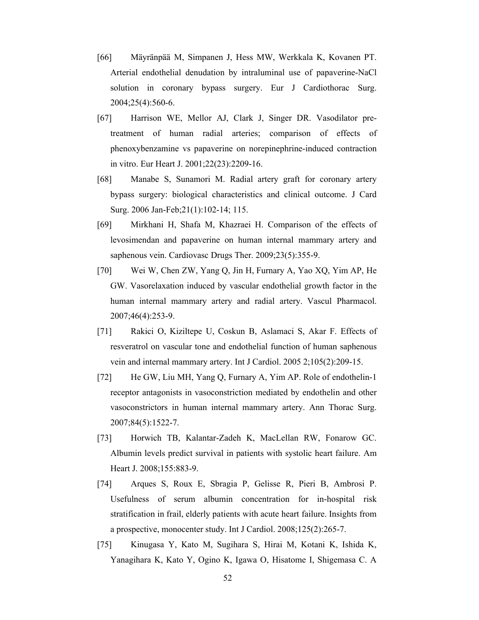- [66] Mäyränpää M, Simpanen J, Hess MW, Werkkala K, Kovanen PT. Arterial endothelial denudation by intraluminal use of papaverine-NaCl solution in coronary bypass surgery. Eur J Cardiothorac Surg. 2004;25(4):560-6.
- [67] Harrison WE, Mellor AJ, Clark J, Singer DR. Vasodilator pretreatment of human radial arteries; comparison of effects of phenoxybenzamine vs papaverine on norepinephrine-induced contraction in vitro. Eur Heart J. 2001;22(23):2209-16.
- [68] Manabe S, Sunamori M. Radial artery graft for coronary artery bypass surgery: biological characteristics and clinical outcome. J Card Surg. 2006 Jan-Feb;21(1):102-14; 115.
- [69] Mirkhani H, Shafa M, Khazraei H. Comparison of the effects of levosimendan and papaverine on human internal mammary artery and saphenous vein. Cardiovasc Drugs Ther. 2009;23(5):355-9.
- [70] Wei W, Chen ZW, Yang Q, Jin H, Furnary A, Yao XQ, Yim AP, He GW. Vasorelaxation induced by vascular endothelial growth factor in the human internal mammary artery and radial artery. Vascul Pharmacol. 2007;46(4):253-9.
- [71] Rakici O, Kiziltepe U, Coskun B, Aslamaci S, Akar F. Effects of resveratrol on vascular tone and endothelial function of human saphenous vein and internal mammary artery. Int J Cardiol. 2005 2;105(2):209-15.
- [72] He GW, Liu MH, Yang Q, Furnary A, Yim AP. Role of endothelin-1 receptor antagonists in vasoconstriction mediated by endothelin and other vasoconstrictors in human internal mammary artery. Ann Thorac Surg. 2007;84(5):1522-7.
- [73] Horwich TB, Kalantar-Zadeh K, MacLellan RW, Fonarow GC. Albumin levels predict survival in patients with systolic heart failure. Am Heart J. 2008;155:883-9.
- [74] Arques S, Roux E, Sbragia P, Gelisse R, Pieri B, Ambrosi P. Usefulness of serum albumin concentration for in-hospital risk stratification in frail, elderly patients with acute heart failure. Insights from a prospective, monocenter study. Int J Cardiol. 2008;125(2):265-7.
- [75] Kinugasa Y, Kato M, Sugihara S, Hirai M, Kotani K, Ishida K, Yanagihara K, Kato Y, Ogino K, Igawa O, Hisatome I, Shigemasa C. A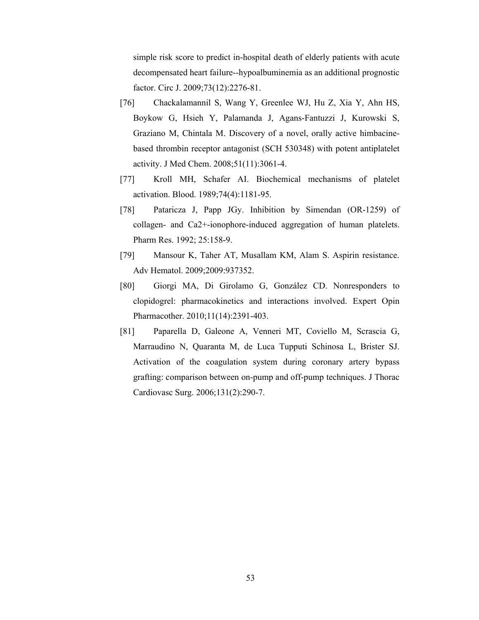simple risk score to predict in-hospital death of elderly patients with acute decompensated heart failure--hypoalbuminemia as an additional prognostic factor. Circ J. 2009;73(12):2276-81.

- [76] Chackalamannil S, Wang Y, Greenlee WJ, Hu Z, Xia Y, Ahn HS, Boykow G, Hsieh Y, Palamanda J, Agans-Fantuzzi J, Kurowski S, Graziano M, Chintala M. Discovery of a novel, orally active himbacinebased thrombin receptor antagonist (SCH 530348) with potent antiplatelet activity. J Med Chem. 2008;51(11):3061-4.
- [77] Kroll MH, Schafer AI. Biochemical mechanisms of platelet activation. Blood. 1989;74(4):1181-95.
- [78] Pataricza J, Papp JGy. Inhibition by Simendan (OR-1259) of collagen- and Ca2+-ionophore-induced aggregation of human platelets. Pharm Res. 1992; 25:158-9.
- [79] Mansour K, Taher AT, Musallam KM, Alam S. Aspirin resistance. Adv Hematol. 2009;2009:937352.
- [80] Giorgi MA, Di Girolamo G, González CD. Nonresponders to clopidogrel: pharmacokinetics and interactions involved. Expert Opin Pharmacother. 2010;11(14):2391-403.
- [81] Paparella D, Galeone A, Venneri MT, Coviello M, Scrascia G, Marraudino N, Quaranta M, de Luca Tupputi Schinosa L, Brister SJ. Activation of the coagulation system during coronary artery bypass grafting: comparison between on-pump and off-pump techniques. J Thorac Cardiovasc Surg. 2006;131(2):290-7.